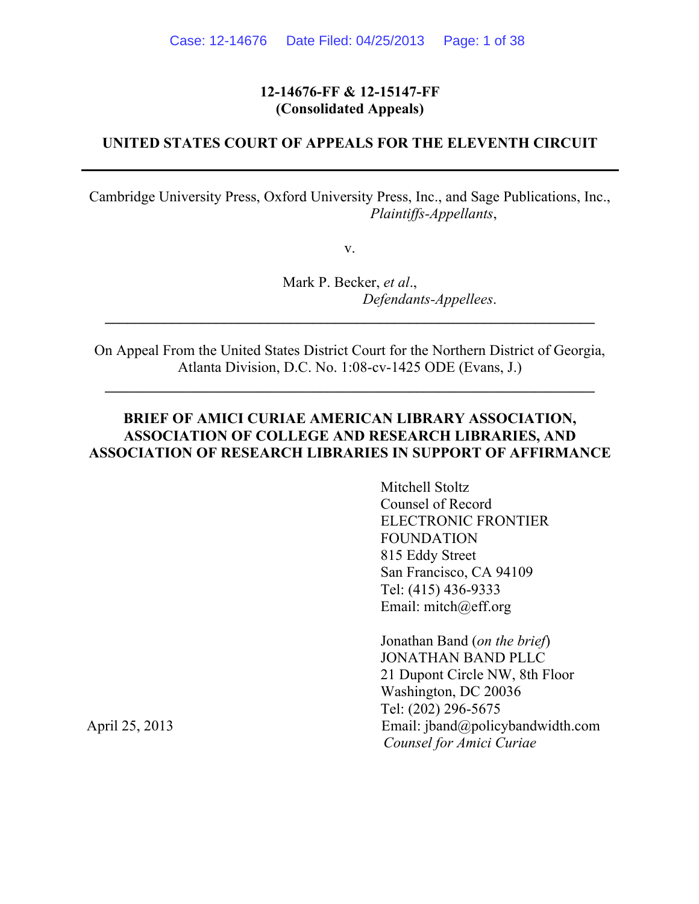#### **12-14676-FF & 12-15147-FF (Consolidated Appeals)**

#### **UNITED STATES COURT OF APPEALS FOR THE ELEVENTH CIRCUIT**

Cambridge University Press, Oxford University Press, Inc., and Sage Publications, Inc., *Plaintiffs-Appellants*,

v.

Mark P. Becker, *et al*., *Defendants-Appellees*.

On Appeal From the United States District Court for the Northern District of Georgia, Atlanta Division, D.C. No. 1:08-cv-1425 ODE (Evans, J.)

**\_\_\_\_\_\_\_\_\_\_\_\_\_\_\_\_\_\_\_\_\_\_\_\_\_\_\_\_\_\_\_\_\_\_\_\_\_\_\_\_\_\_\_\_\_\_\_\_\_\_\_\_\_\_\_\_\_\_\_\_\_\_\_\_\_\_**

**\_\_\_\_\_\_\_\_\_\_\_\_\_\_\_\_\_\_\_\_\_\_\_\_\_\_\_\_\_\_\_\_\_\_\_\_\_\_\_\_\_\_\_\_\_\_\_\_\_\_\_\_\_\_\_\_\_\_\_\_\_\_\_\_\_\_**

#### **BRIEF OF AMICI CURIAE AMERICAN LIBRARY ASSOCIATION, ASSOCIATION OF COLLEGE AND RESEARCH LIBRARIES, AND ASSOCIATION OF RESEARCH LIBRARIES IN SUPPORT OF AFFIRMANCE**

Mitchell Stoltz Counsel of Record ELECTRONIC FRONTIER FOUNDATION 815 Eddy Street San Francisco, CA 94109 Tel: (415) 436-9333 Email: mitch@eff.org

Jonathan Band (*on the brief*) JONATHAN BAND PLLC 21 Dupont Circle NW, 8th Floor Washington, DC 20036 Tel: (202) 296-5675 April 25, 2013 Email: jband@policybandwidth.com *Counsel for Amici Curiae*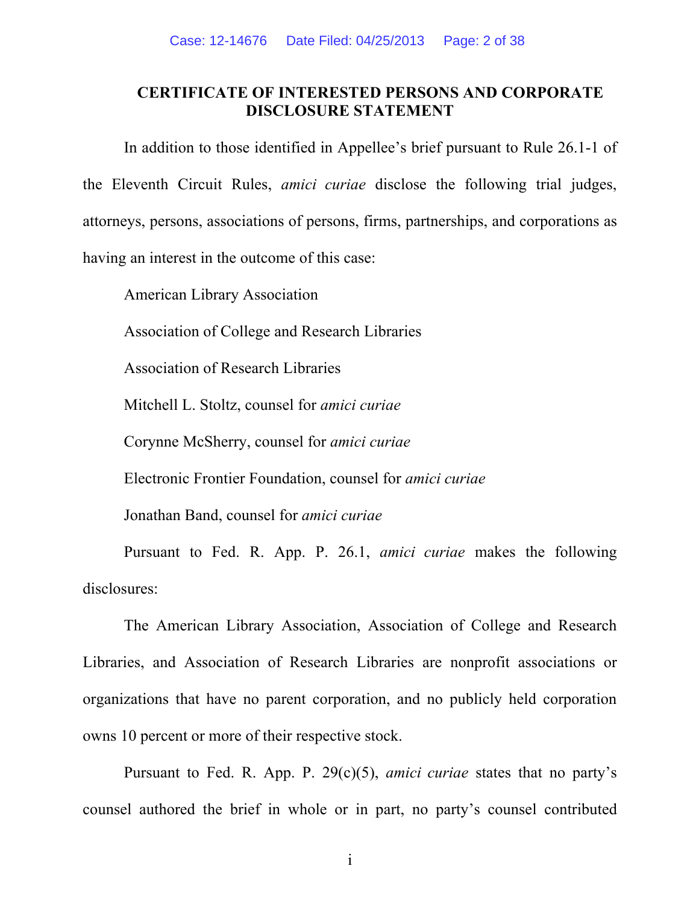### **CERTIFICATE OF INTERESTED PERSONS AND CORPORATE DISCLOSURE STATEMENT**

In addition to those identified in Appellee's brief pursuant to Rule 26.1-1 of the Eleventh Circuit Rules, *amici curiae* disclose the following trial judges, attorneys, persons, associations of persons, firms, partnerships, and corporations as having an interest in the outcome of this case:

American Library Association

Association of College and Research Libraries

Association of Research Libraries

Mitchell L. Stoltz, counsel for *amici curiae*

Corynne McSherry, counsel for *amici curiae*

Electronic Frontier Foundation, counsel for *amici curiae*

Jonathan Band, counsel for *amici curiae*

Pursuant to Fed. R. App. P. 26.1, *amici curiae* makes the following disclosures:

The American Library Association, Association of College and Research Libraries, and Association of Research Libraries are nonprofit associations or organizations that have no parent corporation, and no publicly held corporation owns 10 percent or more of their respective stock.

Pursuant to Fed. R. App. P. 29(c)(5), *amici curiae* states that no party's counsel authored the brief in whole or in part, no party's counsel contributed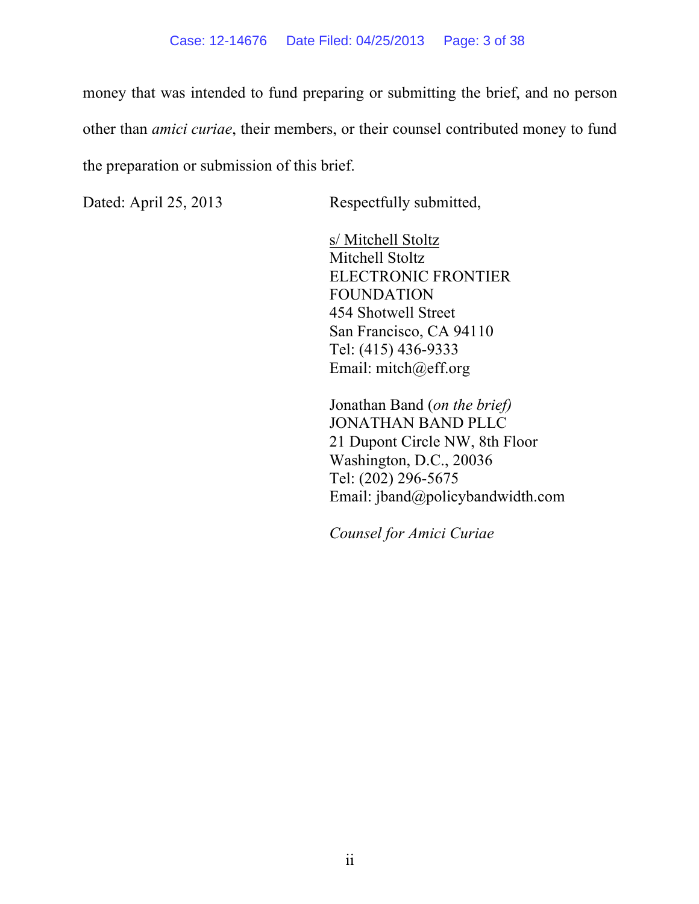money that was intended to fund preparing or submitting the brief, and no person other than *amici curiae*, their members, or their counsel contributed money to fund the preparation or submission of this brief.

Dated: April 25, 2013 Respectfully submitted,

s/ Mitchell Stoltz Mitchell Stoltz ELECTRONIC FRONTIER FOUNDATION 454 Shotwell Street San Francisco, CA 94110 Tel: (415) 436-9333 Email: mitch@eff.org

Jonathan Band (*on the brief)* JONATHAN BAND PLLC 21 Dupont Circle NW, 8th Floor Washington, D.C., 20036 Tel: (202) 296-5675 Email: jband@policybandwidth.com

*Counsel for Amici Curiae*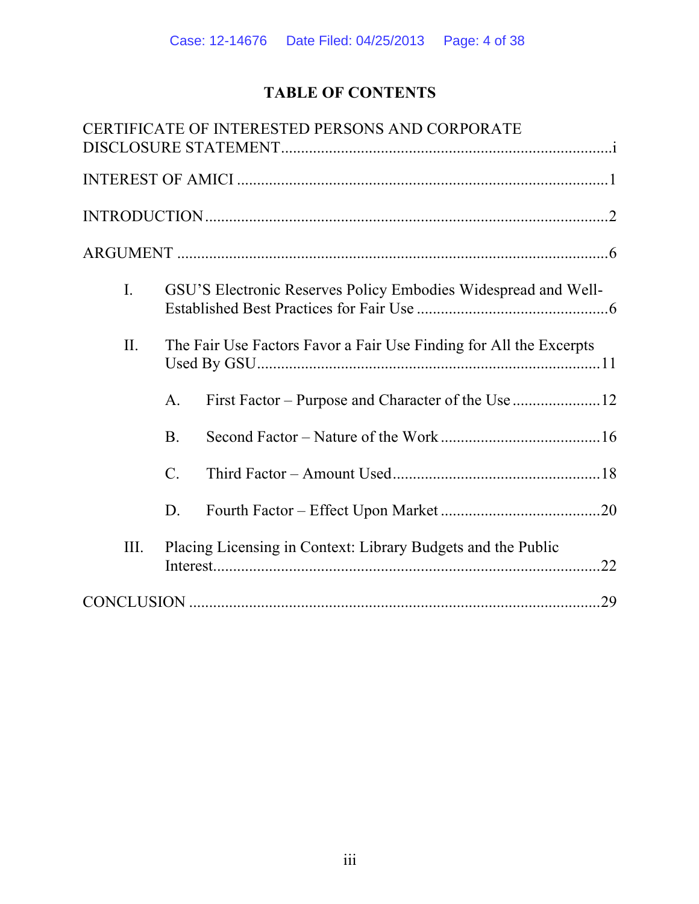# **TABLE OF CONTENTS**

|      | CERTIFICATE OF INTERESTED PERSONS AND CORPORATE                    |     |
|------|--------------------------------------------------------------------|-----|
|      |                                                                    |     |
|      |                                                                    |     |
|      |                                                                    |     |
| I.   | GSU'S Electronic Reserves Policy Embodies Widespread and Well-     |     |
| II.  | The Fair Use Factors Favor a Fair Use Finding for All the Excerpts |     |
|      | $\mathbf{A}$ .                                                     |     |
|      | <b>B</b> .                                                         |     |
|      | $\mathcal{C}$ .                                                    |     |
|      | D.                                                                 |     |
| III. | Placing Licensing in Context: Library Budgets and the Public       | 22  |
|      |                                                                    | .29 |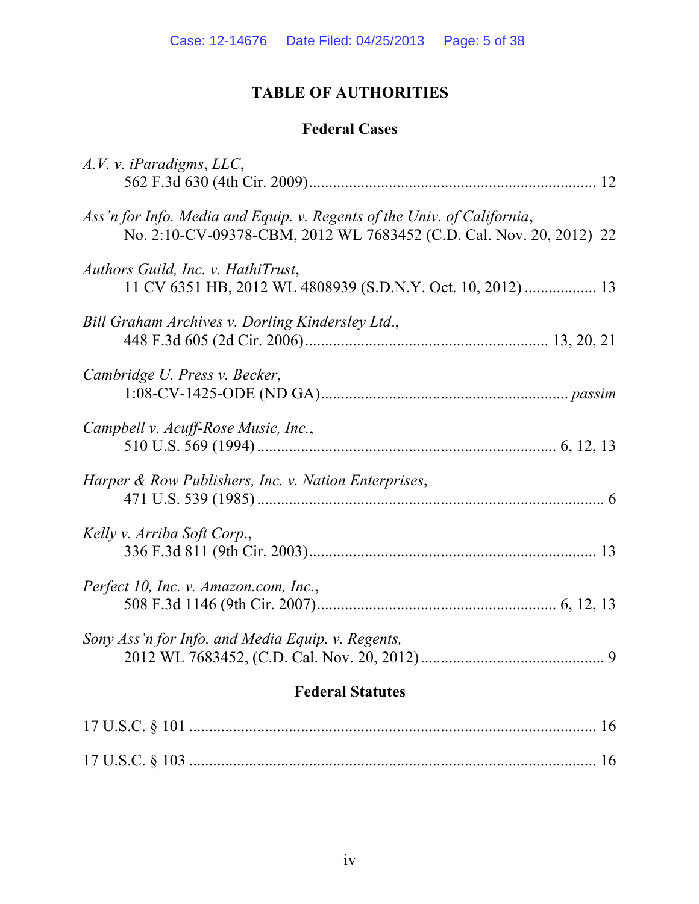# **TABLE OF AUTHORITIES**

# **Federal Cases**

| A.V. v. iParadigms, LLC,                                                                                                                       |
|------------------------------------------------------------------------------------------------------------------------------------------------|
| Ass'n for Info. Media and Equip. v. Regents of the Univ. of California,<br>No. 2:10-CV-09378-CBM, 2012 WL 7683452 (C.D. Cal. Nov. 20, 2012) 22 |
| Authors Guild, Inc. v. HathiTrust,<br>11 CV 6351 HB, 2012 WL 4808939 (S.D.N.Y. Oct. 10, 2012)  13                                              |
| Bill Graham Archives v. Dorling Kindersley Ltd.,                                                                                               |
| Cambridge U. Press v. Becker,                                                                                                                  |
| Campbell v. Acuff-Rose Music, Inc.,                                                                                                            |
| Harper & Row Publishers, Inc. v. Nation Enterprises,                                                                                           |
| Kelly v. Arriba Soft Corp.,                                                                                                                    |
| Perfect 10, Inc. v. Amazon.com, Inc.,                                                                                                          |
| Sony Ass'n for Info. and Media Equip. v. Regents,                                                                                              |
| <b>Federal Statutes</b>                                                                                                                        |
|                                                                                                                                                |
|                                                                                                                                                |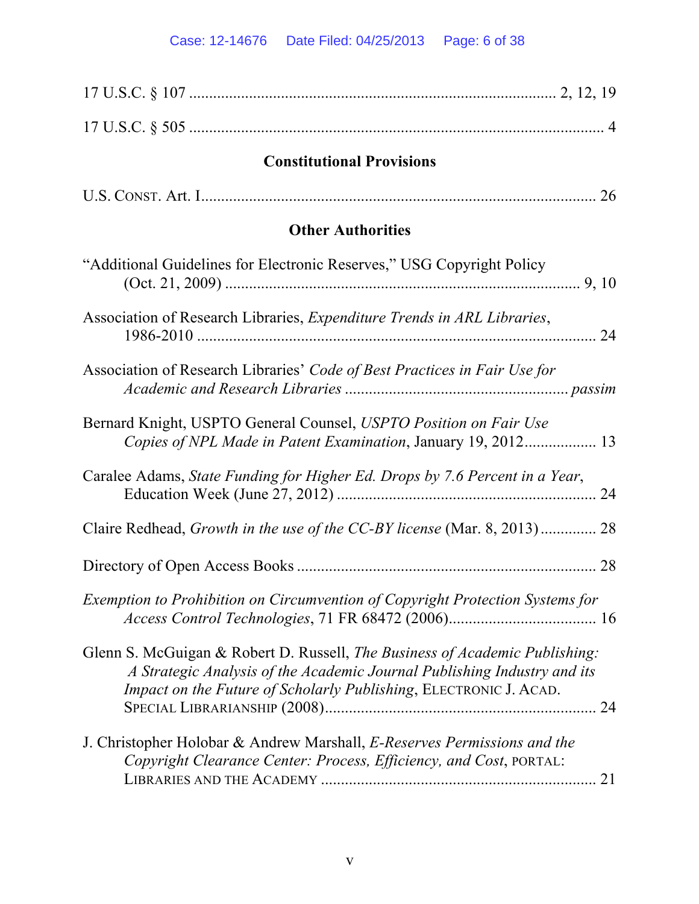| <b>Constitutional Provisions</b>                                                                                                                                                                                             |
|------------------------------------------------------------------------------------------------------------------------------------------------------------------------------------------------------------------------------|
|                                                                                                                                                                                                                              |
| <b>Other Authorities</b>                                                                                                                                                                                                     |
| "Additional Guidelines for Electronic Reserves," USG Copyright Policy                                                                                                                                                        |
| Association of Research Libraries, Expenditure Trends in ARL Libraries,                                                                                                                                                      |
| Association of Research Libraries' Code of Best Practices in Fair Use for                                                                                                                                                    |
| Bernard Knight, USPTO General Counsel, USPTO Position on Fair Use<br>Copies of NPL Made in Patent Examination, January 19, 2012 13                                                                                           |
| Caralee Adams, State Funding for Higher Ed. Drops by 7.6 Percent in a Year,<br>24                                                                                                                                            |
| Claire Redhead, <i>Growth in the use of the CC-BY license</i> (Mar. 8, 2013) 28                                                                                                                                              |
|                                                                                                                                                                                                                              |
| Exemption to Prohibition on Circumvention of Copyright Protection Systems for                                                                                                                                                |
| Glenn S. McGuigan & Robert D. Russell, The Business of Academic Publishing:<br>A Strategic Analysis of the Academic Journal Publishing Industry and its<br>Impact on the Future of Scholarly Publishing, ELECTRONIC J. ACAD. |
| J. Christopher Holobar & Andrew Marshall, E-Reserves Permissions and the<br>Copyright Clearance Center: Process, Efficiency, and Cost, PORTAL:<br>21                                                                         |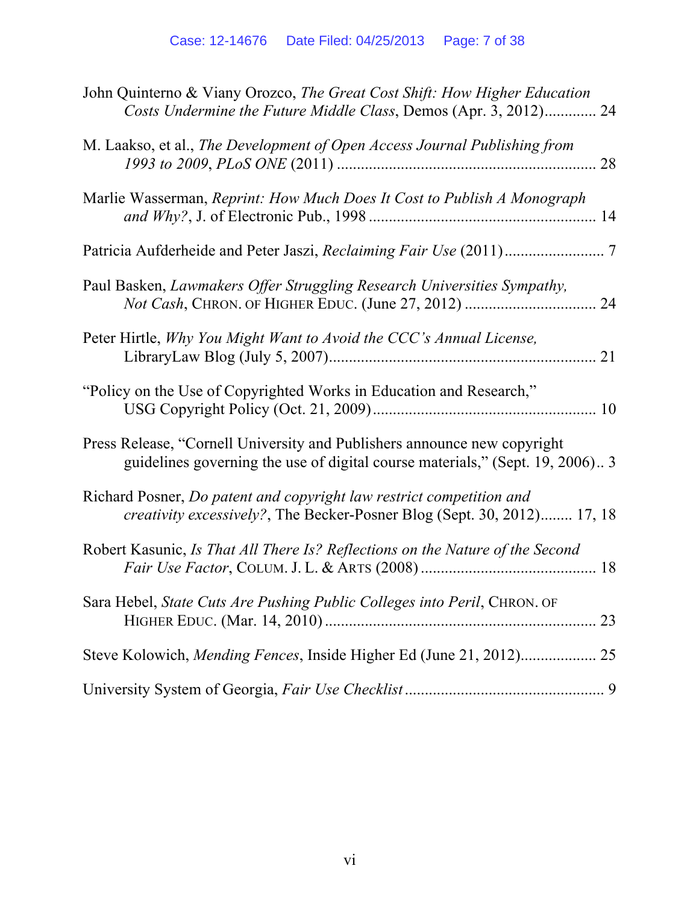| John Quinterno & Viany Orozco, The Great Cost Shift: How Higher Education<br>Costs Undermine the Future Middle Class, Demos (Apr. 3, 2012) 24            |
|----------------------------------------------------------------------------------------------------------------------------------------------------------|
| M. Laakso, et al., The Development of Open Access Journal Publishing from                                                                                |
| Marlie Wasserman, Reprint: How Much Does It Cost to Publish A Monograph                                                                                  |
|                                                                                                                                                          |
| Paul Basken, Lawmakers Offer Struggling Research Universities Sympathy,                                                                                  |
| Peter Hirtle, Why You Might Want to Avoid the CCC's Annual License,                                                                                      |
| "Policy on the Use of Copyrighted Works in Education and Research,"                                                                                      |
| Press Release, "Cornell University and Publishers announce new copyright<br>guidelines governing the use of digital course materials," (Sept. 19, 2006)3 |
| Richard Posner, Do patent and copyright law restrict competition and<br>creativity excessively?, The Becker-Posner Blog (Sept. 30, 2012) 17, 18          |
| Robert Kasunic, Is That All There Is? Reflections on the Nature of the Second                                                                            |
| Sara Hebel, State Cuts Are Pushing Public Colleges into Peril, CHRON. OF                                                                                 |
|                                                                                                                                                          |
|                                                                                                                                                          |
|                                                                                                                                                          |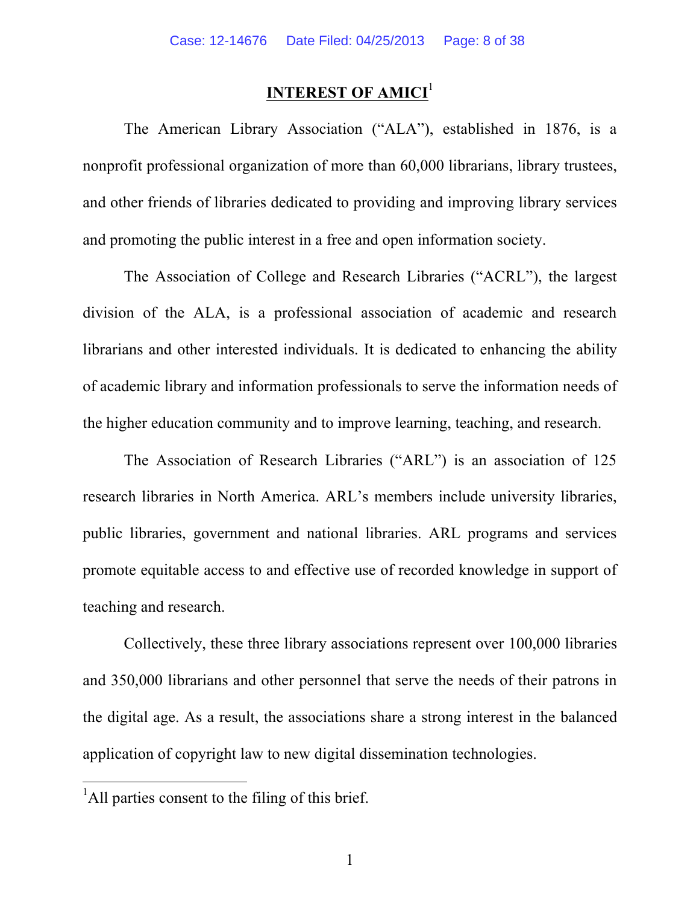## **INTEREST OF AMICI<sup>1</sup>**

The American Library Association ("ALA"), established in 1876, is a nonprofit professional organization of more than 60,000 librarians, library trustees, and other friends of libraries dedicated to providing and improving library services and promoting the public interest in a free and open information society.

The Association of College and Research Libraries ("ACRL"), the largest division of the ALA, is a professional association of academic and research librarians and other interested individuals. It is dedicated to enhancing the ability of academic library and information professionals to serve the information needs of the higher education community and to improve learning, teaching, and research.

The Association of Research Libraries ("ARL") is an association of 125 research libraries in North America. ARL's members include university libraries, public libraries, government and national libraries. ARL programs and services promote equitable access to and effective use of recorded knowledge in support of teaching and research.

Collectively, these three library associations represent over 100,000 libraries and 350,000 librarians and other personnel that serve the needs of their patrons in the digital age. As a result, the associations share a strong interest in the balanced application of copyright law to new digital dissemination technologies.

<sup>&</sup>lt;sup>1</sup>All parties consent to the filing of this brief.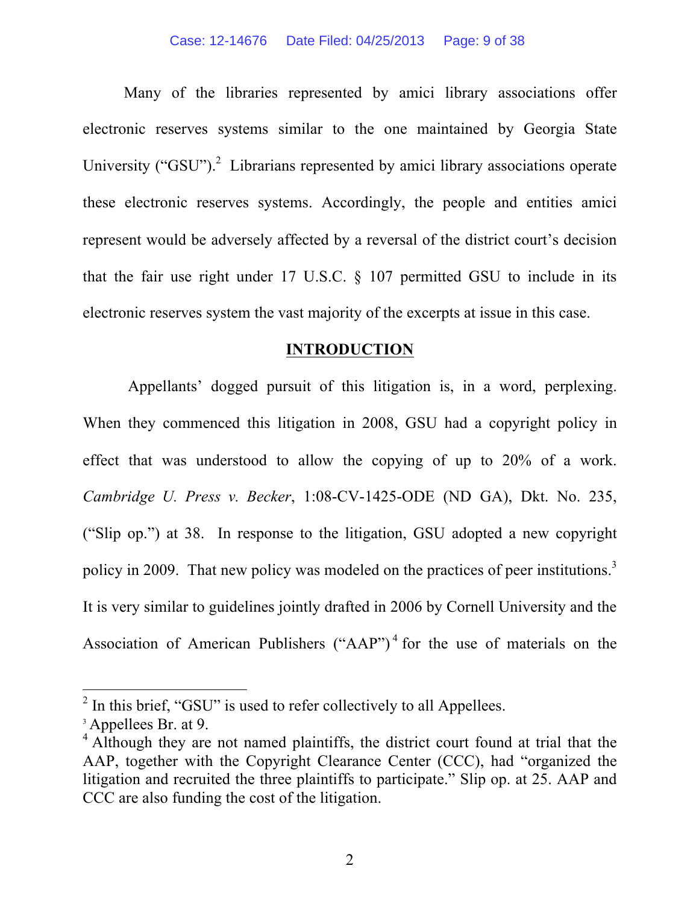Many of the libraries represented by amici library associations offer electronic reserves systems similar to the one maintained by Georgia State University ("GSU").<sup>2</sup> Librarians represented by amici library associations operate these electronic reserves systems. Accordingly, the people and entities amici represent would be adversely affected by a reversal of the district court's decision that the fair use right under 17 U.S.C. § 107 permitted GSU to include in its electronic reserves system the vast majority of the excerpts at issue in this case.

#### **INTRODUCTION**

Appellants' dogged pursuit of this litigation is, in a word, perplexing. When they commenced this litigation in 2008, GSU had a copyright policy in effect that was understood to allow the copying of up to 20% of a work. *Cambridge U. Press v. Becker*, 1:08-CV-1425-ODE (ND GA), Dkt. No. 235, ("Slip op.") at 38. In response to the litigation, GSU adopted a new copyright policy in 2009. That new policy was modeled on the practices of peer institutions.<sup>3</sup> It is very similar to guidelines jointly drafted in 2006 by Cornell University and the Association of American Publishers ("AAP")<sup>4</sup> for the use of materials on the

 $^{2}$  In this brief, "GSU" is used to refer collectively to all Appellees.

<sup>&</sup>lt;sup>3</sup> Appellees Br. at 9.

<sup>&</sup>lt;sup>4</sup> Although they are not named plaintiffs, the district court found at trial that the AAP, together with the Copyright Clearance Center (CCC), had "organized the litigation and recruited the three plaintiffs to participate." Slip op. at 25. AAP and CCC are also funding the cost of the litigation.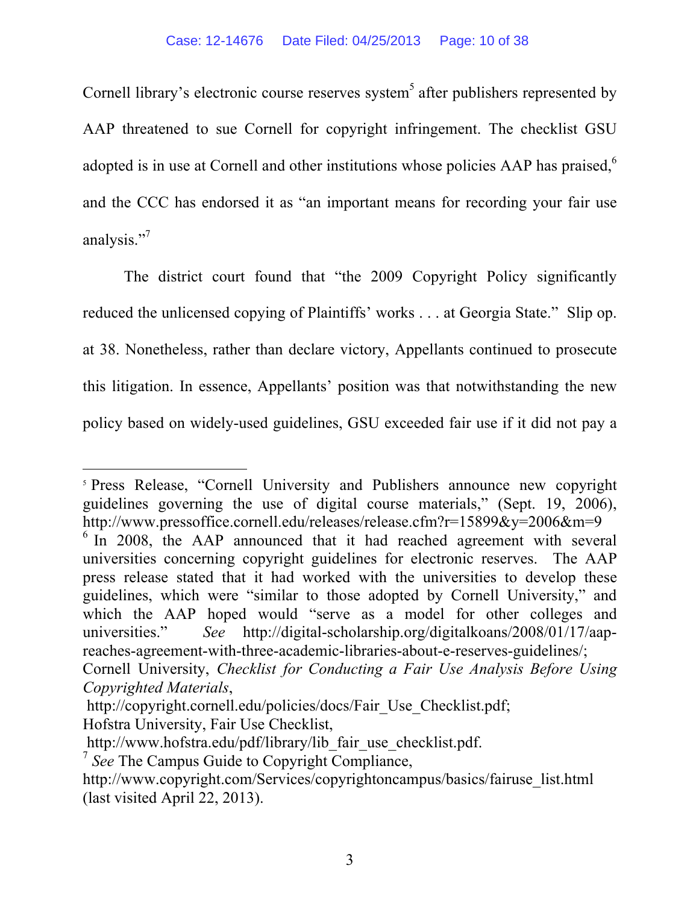Cornell library's electronic course reserves system<sup>5</sup> after publishers represented by AAP threatened to sue Cornell for copyright infringement. The checklist GSU adopted is in use at Cornell and other institutions whose policies AAP has praised,  $6\%$ and the CCC has endorsed it as "an important means for recording your fair use analysis."<sup>7</sup>

The district court found that "the 2009 Copyright Policy significantly reduced the unlicensed copying of Plaintiffs' works . . . at Georgia State." Slip op. at 38. Nonetheless, rather than declare victory, Appellants continued to prosecute this litigation. In essence, Appellants' position was that notwithstanding the new policy based on widely-used guidelines, GSU exceeded fair use if it did not pay a

 

<sup>5</sup> Press Release, "Cornell University and Publishers announce new copyright guidelines governing the use of digital course materials," (Sept. 19, 2006), http://www.pressoffice.cornell.edu/releases/release.cfm?r=15899&y=2006&m=9

<sup>&</sup>lt;sup>6</sup> In 2008, the AAP announced that it had reached agreement with several universities concerning copyright guidelines for electronic reserves. The AAP press release stated that it had worked with the universities to develop these guidelines, which were "similar to those adopted by Cornell University," and which the AAP hoped would "serve as a model for other colleges and universities." *See* http://digital-scholarship.org/digitalkoans/2008/01/17/aapreaches-agreement-with-three-academic-libraries-about-e-reserves-guidelines/;

Cornell University, *Checklist for Conducting a Fair Use Analysis Before Using Copyrighted Materials*,

http://copyright.cornell.edu/policies/docs/Fair\_Use\_Checklist.pdf; Hofstra University, Fair Use Checklist,

http://www.hofstra.edu/pdf/library/lib\_fair\_use\_checklist.pdf.

<sup>7</sup> *See* The Campus Guide to Copyright Compliance,

http://www.copyright.com/Services/copyrightoncampus/basics/fairuse\_list.html (last visited April 22, 2013).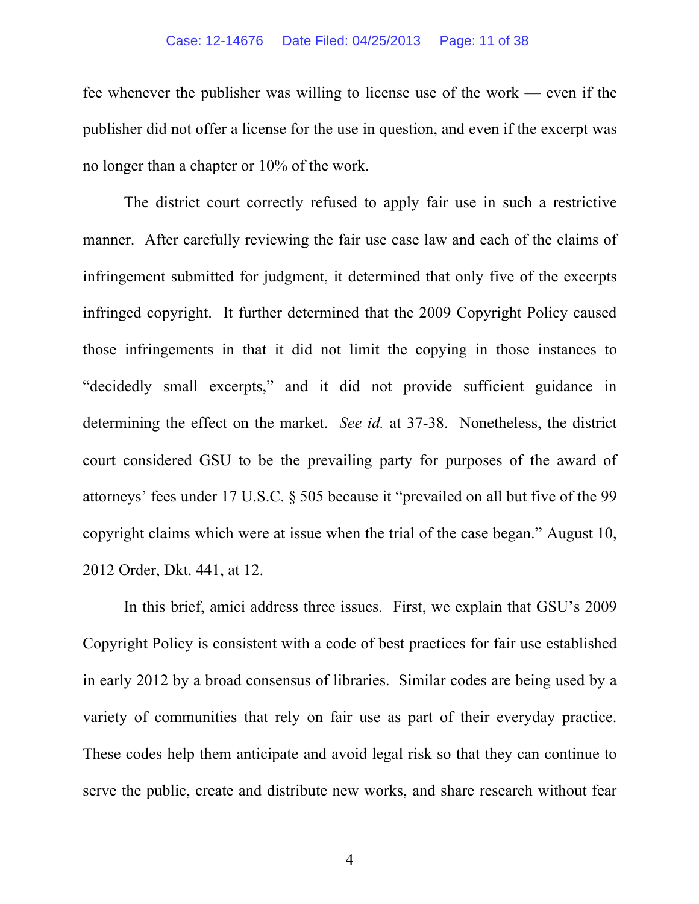#### Case: 12-14676 Date Filed: 04/25/2013 Page: 11 of 38

fee whenever the publisher was willing to license use of the work — even if the publisher did not offer a license for the use in question, and even if the excerpt was no longer than a chapter or 10% of the work.

The district court correctly refused to apply fair use in such a restrictive manner. After carefully reviewing the fair use case law and each of the claims of infringement submitted for judgment, it determined that only five of the excerpts infringed copyright. It further determined that the 2009 Copyright Policy caused those infringements in that it did not limit the copying in those instances to "decidedly small excerpts," and it did not provide sufficient guidance in determining the effect on the market. *See id.* at 37-38. Nonetheless, the district court considered GSU to be the prevailing party for purposes of the award of attorneys' fees under 17 U.S.C. § 505 because it "prevailed on all but five of the 99 copyright claims which were at issue when the trial of the case began." August 10, 2012 Order, Dkt. 441, at 12.

In this brief, amici address three issues. First, we explain that GSU's 2009 Copyright Policy is consistent with a code of best practices for fair use established in early 2012 by a broad consensus of libraries. Similar codes are being used by a variety of communities that rely on fair use as part of their everyday practice. These codes help them anticipate and avoid legal risk so that they can continue to serve the public, create and distribute new works, and share research without fear

4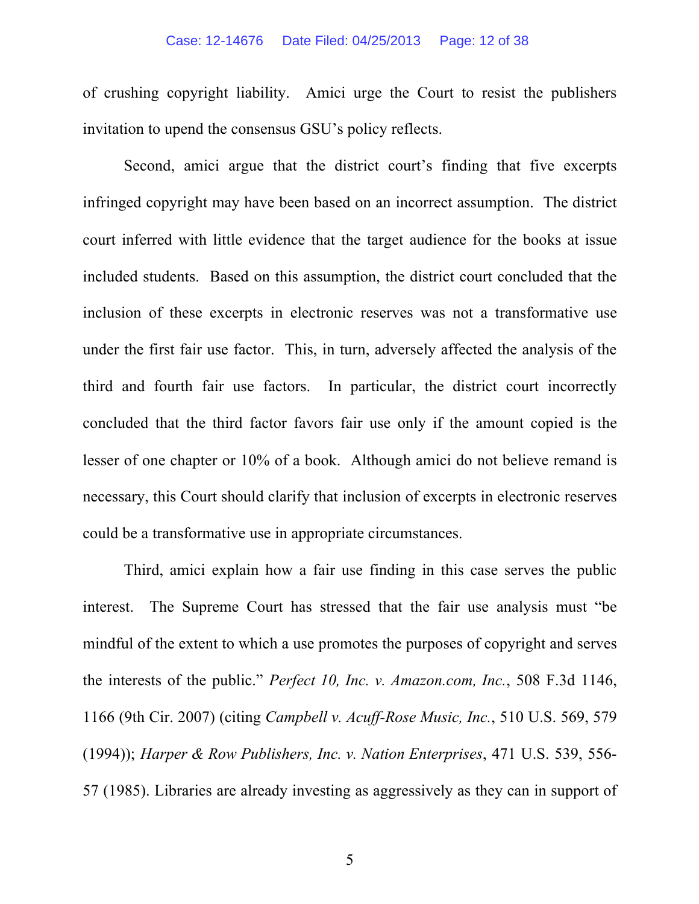of crushing copyright liability. Amici urge the Court to resist the publishers invitation to upend the consensus GSU's policy reflects.

Second, amici argue that the district court's finding that five excerpts infringed copyright may have been based on an incorrect assumption. The district court inferred with little evidence that the target audience for the books at issue included students. Based on this assumption, the district court concluded that the inclusion of these excerpts in electronic reserves was not a transformative use under the first fair use factor. This, in turn, adversely affected the analysis of the third and fourth fair use factors. In particular, the district court incorrectly concluded that the third factor favors fair use only if the amount copied is the lesser of one chapter or 10% of a book. Although amici do not believe remand is necessary, this Court should clarify that inclusion of excerpts in electronic reserves could be a transformative use in appropriate circumstances.

Third, amici explain how a fair use finding in this case serves the public interest. The Supreme Court has stressed that the fair use analysis must "be mindful of the extent to which a use promotes the purposes of copyright and serves the interests of the public." *Perfect 10, Inc. v. Amazon.com, Inc.*, 508 F.3d 1146, 1166 (9th Cir. 2007) (citing *Campbell v. Acuff-Rose Music, Inc.*, 510 U.S. 569, 579 (1994)); *Harper & Row Publishers, Inc. v. Nation Enterprises*, 471 U.S. 539, 556- 57 (1985). Libraries are already investing as aggressively as they can in support of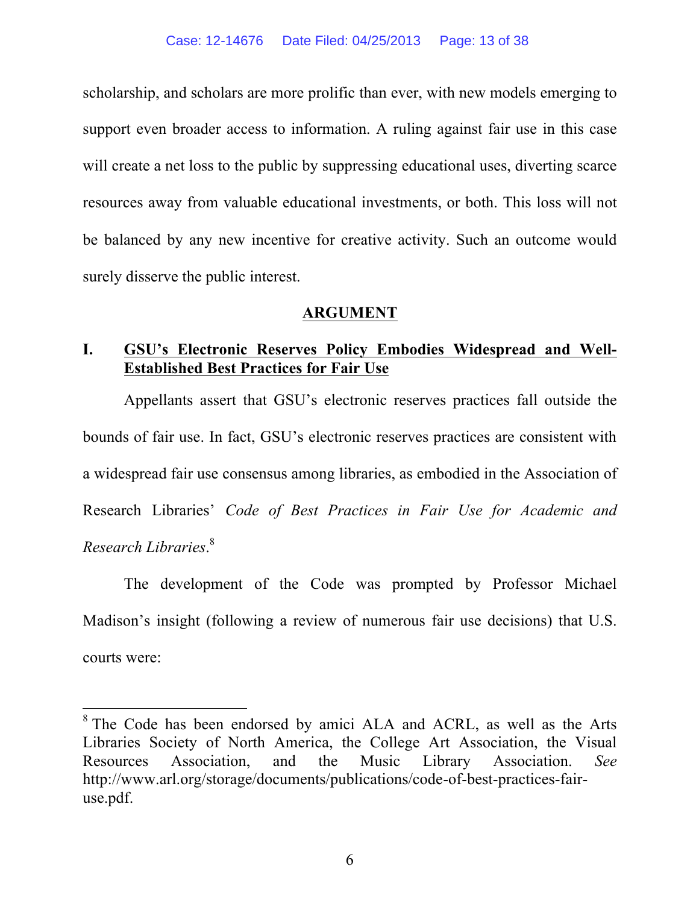scholarship, and scholars are more prolific than ever, with new models emerging to support even broader access to information. A ruling against fair use in this case will create a net loss to the public by suppressing educational uses, diverting scarce resources away from valuable educational investments, or both. This loss will not be balanced by any new incentive for creative activity. Such an outcome would surely disserve the public interest.

### **ARGUMENT**

## **I. GSU's Electronic Reserves Policy Embodies Widespread and Well-Established Best Practices for Fair Use**

Appellants assert that GSU's electronic reserves practices fall outside the bounds of fair use. In fact, GSU's electronic reserves practices are consistent with a widespread fair use consensus among libraries, as embodied in the Association of Research Libraries' *Code of Best Practices in Fair Use for Academic and Research Libraries*. 8

The development of the Code was prompted by Professor Michael Madison's insight (following a review of numerous fair use decisions) that U.S. courts were:

 $8$ <sup>8</sup> The Code has been endorsed by amici ALA and ACRL, as well as the Arts Libraries Society of North America, the College Art Association, the Visual Resources Association, and the Music Library Association. *See* http://www.arl.org/storage/documents/publications/code-of-best-practices-fairuse.pdf.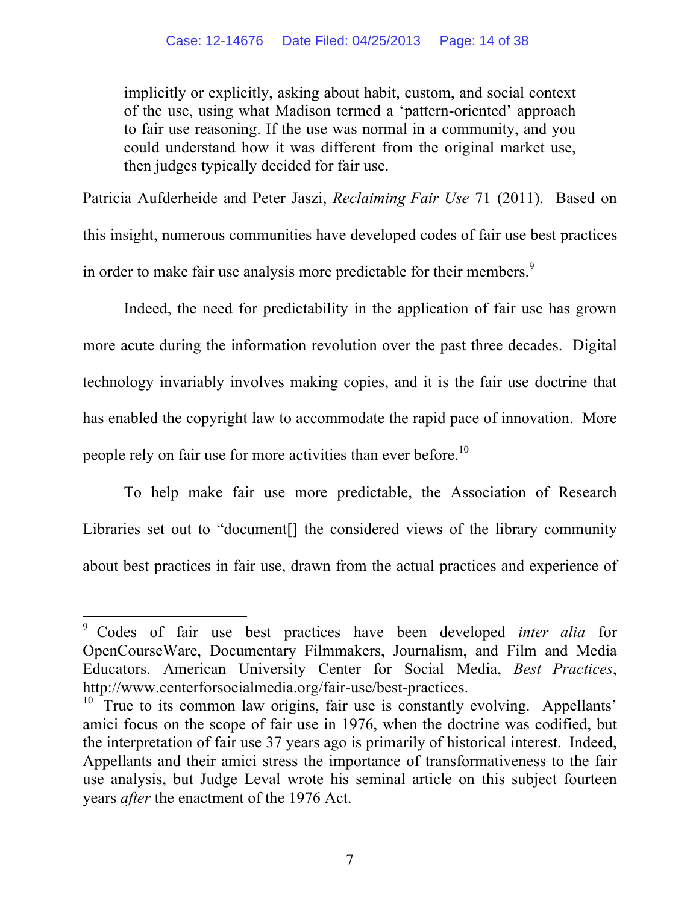implicitly or explicitly, asking about habit, custom, and social context of the use, using what Madison termed a 'pattern-oriented' approach to fair use reasoning. If the use was normal in a community, and you could understand how it was different from the original market use, then judges typically decided for fair use.

Patricia Aufderheide and Peter Jaszi, *Reclaiming Fair Use* 71 (2011). Based on this insight, numerous communities have developed codes of fair use best practices in order to make fair use analysis more predictable for their members.<sup>9</sup>

Indeed, the need for predictability in the application of fair use has grown more acute during the information revolution over the past three decades. Digital technology invariably involves making copies, and it is the fair use doctrine that has enabled the copyright law to accommodate the rapid pace of innovation. More people rely on fair use for more activities than ever before.<sup>10</sup>

To help make fair use more predictable, the Association of Research Libraries set out to "document<sup>[]</sup> the considered views of the library community about best practices in fair use, drawn from the actual practices and experience of

 <sup>9</sup> Codes of fair use best practices have been developed *inter alia* for OpenCourseWare, Documentary Filmmakers, Journalism, and Film and Media Educators. American University Center for Social Media, *Best Practices*, http://www.centerforsocialmedia.org/fair-use/best-practices.

 $10$  True to its common law origins, fair use is constantly evolving. Appellants' amici focus on the scope of fair use in 1976, when the doctrine was codified, but the interpretation of fair use 37 years ago is primarily of historical interest. Indeed, Appellants and their amici stress the importance of transformativeness to the fair use analysis, but Judge Leval wrote his seminal article on this subject fourteen years *after* the enactment of the 1976 Act.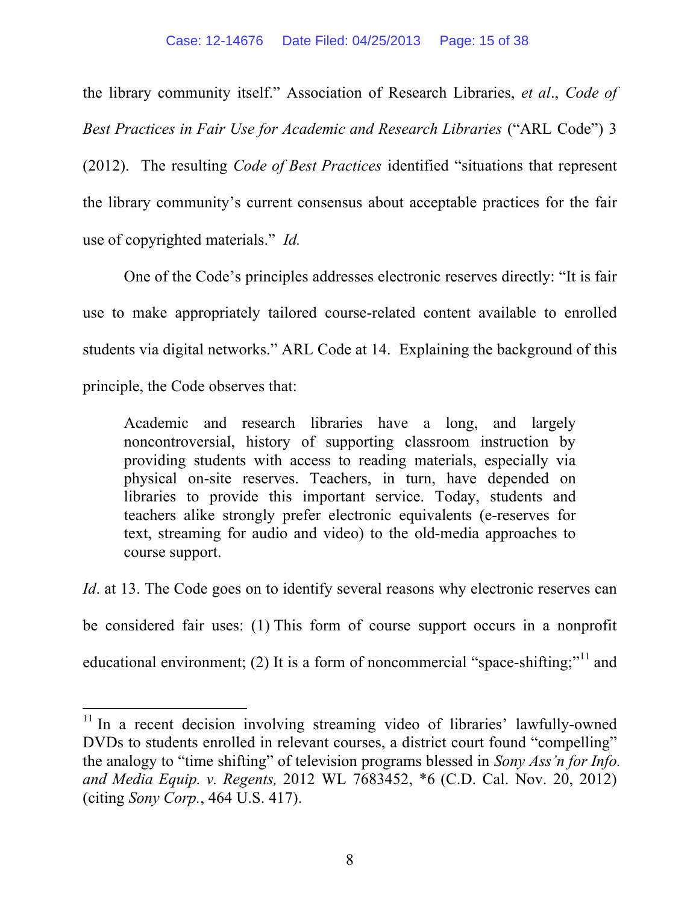the library community itself." Association of Research Libraries, *et al*., *Code of Best Practices in Fair Use for Academic and Research Libraries* ("ARL Code") 3

(2012). The resulting *Code of Best Practices* identified "situations that represent the library community's current consensus about acceptable practices for the fair use of copyrighted materials." *Id.*

One of the Code's principles addresses electronic reserves directly: "It is fair use to make appropriately tailored course-related content available to enrolled students via digital networks." ARL Code at 14. Explaining the background of this principle, the Code observes that:

Academic and research libraries have a long, and largely noncontroversial, history of supporting classroom instruction by providing students with access to reading materials, especially via physical on-site reserves. Teachers, in turn, have depended on libraries to provide this important service. Today, students and teachers alike strongly prefer electronic equivalents (e-reserves for text, streaming for audio and video) to the old-media approaches to course support.

*Id.* at 13. The Code goes on to identify several reasons why electronic reserves can be considered fair uses: (1) This form of course support occurs in a nonprofit educational environment; (2) It is a form of noncommercial "space-shifting;"<sup>11</sup> and

<sup>&</sup>lt;sup>11</sup> In a recent decision involving streaming video of libraries' lawfully-owned DVDs to students enrolled in relevant courses, a district court found "compelling" the analogy to "time shifting" of television programs blessed in *Sony Ass'n for Info. and Media Equip. v. Regents,* 2012 WL 7683452, \*6 (C.D. Cal. Nov. 20, 2012) (citing *Sony Corp.*, 464 U.S. 417).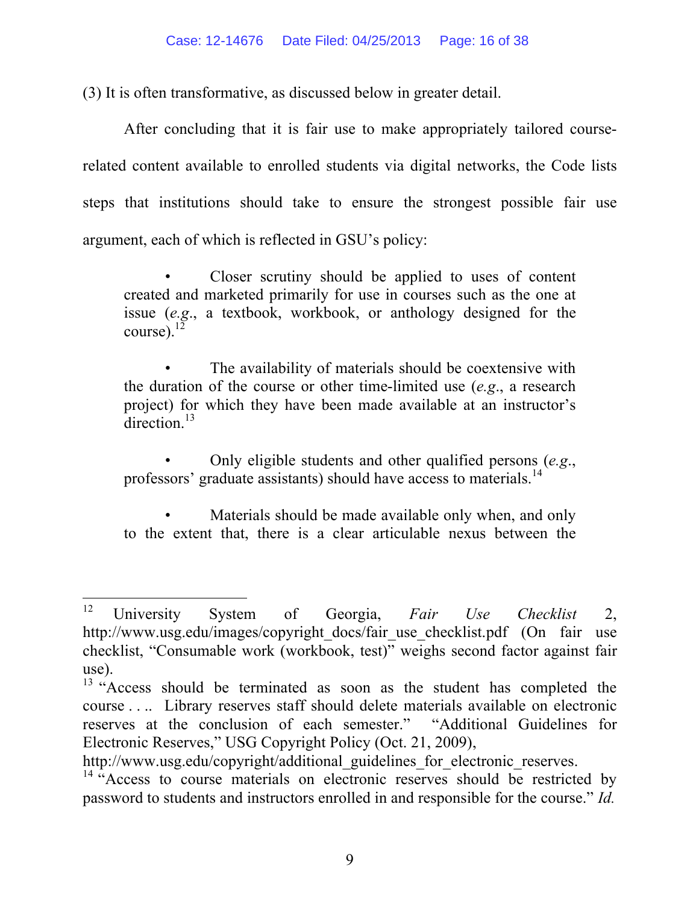(3) It is often transformative, as discussed below in greater detail.

After concluding that it is fair use to make appropriately tailored courserelated content available to enrolled students via digital networks, the Code lists steps that institutions should take to ensure the strongest possible fair use argument, each of which is reflected in GSU's policy:

• Closer scrutiny should be applied to uses of content created and marketed primarily for use in courses such as the one at issue (*e.g*., a textbook, workbook, or anthology designed for the  $course)$ .<sup>1</sup>

The availability of materials should be coextensive with the duration of the course or other time-limited use (*e.g*., a research project) for which they have been made available at an instructor's  $direction$ <sup>13</sup>

• Only eligible students and other qualified persons (*e.g*., professors' graduate assistants) should have access to materials.<sup>14</sup>

Materials should be made available only when, and only to the extent that, there is a clear articulable nexus between the

 <sup>12</sup> University System of Georgia, *Fair Use Checklist* 2, http://www.usg.edu/images/copyright\_docs/fair\_use\_checklist.pdf (On fair use checklist, "Consumable work (workbook, test)" weighs second factor against fair use).

<sup>&</sup>lt;sup>13</sup> "Access should be terminated as soon as the student has completed the course . . .. Library reserves staff should delete materials available on electronic reserves at the conclusion of each semester." "Additional Guidelines for Electronic Reserves," USG Copyright Policy (Oct. 21, 2009),

http://www.usg.edu/copyright/additional\_guidelines\_for\_electronic\_reserves.

 $14$  "Access to course materials on electronic reserves should be restricted by password to students and instructors enrolled in and responsible for the course." *Id.*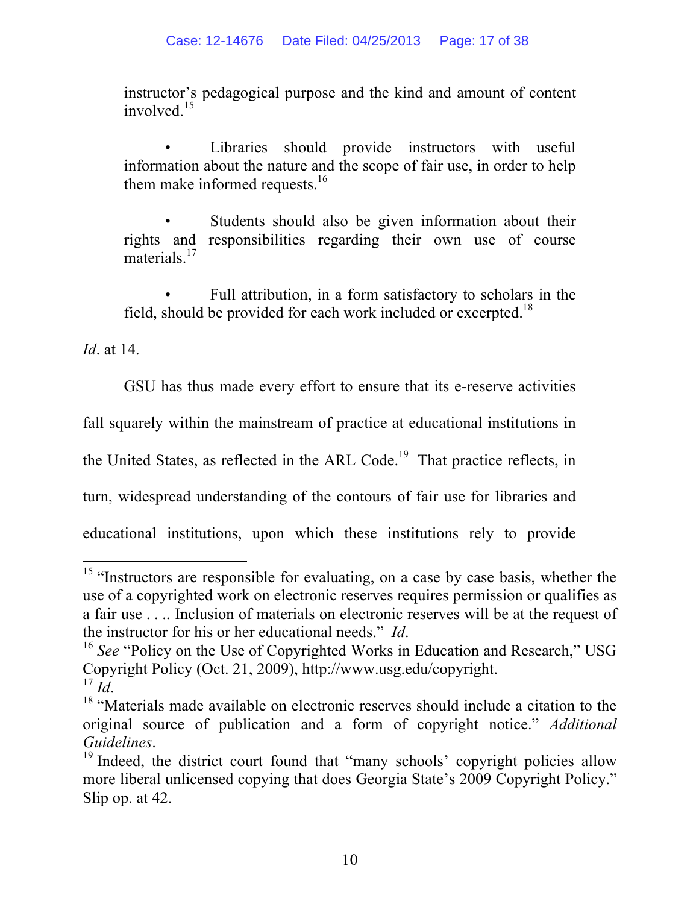instructor's pedagogical purpose and the kind and amount of content involved $15$ 

Libraries should provide instructors with useful information about the nature and the scope of fair use, in order to help them make informed requests. $16$ 

Students should also be given information about their rights and responsibilities regarding their own use of course materials.<sup>17</sup>

Full attribution, in a form satisfactory to scholars in the field, should be provided for each work included or excerpted.<sup>18</sup>

*Id*. at 14.

GSU has thus made every effort to ensure that its e-reserve activities

fall squarely within the mainstream of practice at educational institutions in

the United States, as reflected in the ARL Code.<sup>19</sup> That practice reflects, in

turn, widespread understanding of the contours of fair use for libraries and

educational institutions, upon which these institutions rely to provide

<sup>&</sup>lt;sup>15</sup> "Instructors are responsible for evaluating, on a case by case basis, whether the use of a copyrighted work on electronic reserves requires permission or qualifies as a fair use . . .. Inclusion of materials on electronic reserves will be at the request of the instructor for his or her educational needs." *Id*.<br><sup>16</sup> *See* "Policy on the Use of Copyrighted Works in Education and Research," USG

Copyright Policy (Oct. 21, 2009), http://www.usg.edu/copyright.<br> $^{17}$  Id

<sup>&</sup>lt;sup>18</sup> "Materials made available on electronic reserves should include a citation to the original source of publication and a form of copyright notice." *Additional*

*Guidelines*.<br><sup>19</sup> Indeed, the district court found that "many schools' copyright policies allow more liberal unlicensed copying that does Georgia State's 2009 Copyright Policy." Slip op. at 42.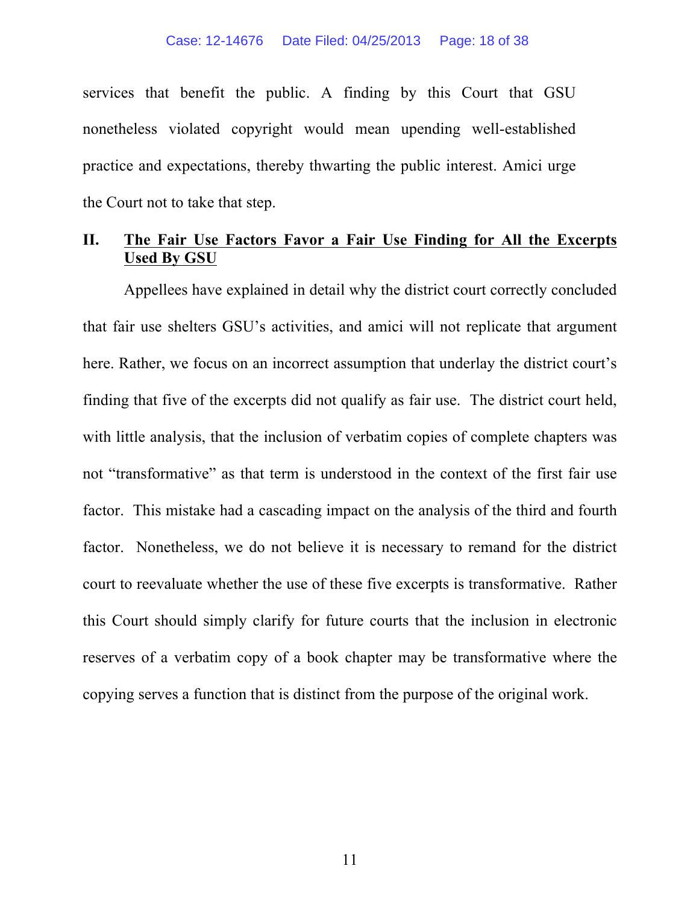services that benefit the public. A finding by this Court that GSU nonetheless violated copyright would mean upending well-established practice and expectations, thereby thwarting the public interest. Amici urge the Court not to take that step.

### **II. The Fair Use Factors Favor a Fair Use Finding for All the Excerpts Used By GSU**

Appellees have explained in detail why the district court correctly concluded that fair use shelters GSU's activities, and amici will not replicate that argument here. Rather, we focus on an incorrect assumption that underlay the district court's finding that five of the excerpts did not qualify as fair use. The district court held, with little analysis, that the inclusion of verbatim copies of complete chapters was not "transformative" as that term is understood in the context of the first fair use factor. This mistake had a cascading impact on the analysis of the third and fourth factor. Nonetheless, we do not believe it is necessary to remand for the district court to reevaluate whether the use of these five excerpts is transformative. Rather this Court should simply clarify for future courts that the inclusion in electronic reserves of a verbatim copy of a book chapter may be transformative where the copying serves a function that is distinct from the purpose of the original work.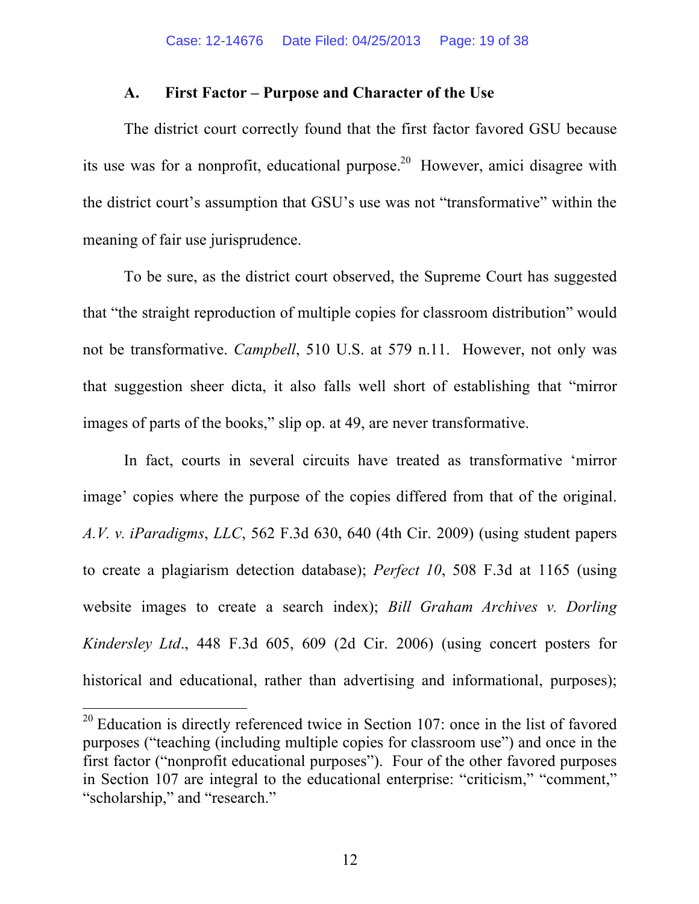#### **A. First Factor – Purpose and Character of the Use**

The district court correctly found that the first factor favored GSU because its use was for a nonprofit, educational purpose.<sup>20</sup> However, amici disagree with the district court's assumption that GSU's use was not "transformative" within the meaning of fair use jurisprudence.

To be sure, as the district court observed, the Supreme Court has suggested that "the straight reproduction of multiple copies for classroom distribution" would not be transformative. *Campbell*, 510 U.S. at 579 n.11. However, not only was that suggestion sheer dicta, it also falls well short of establishing that "mirror images of parts of the books," slip op. at 49, are never transformative.

In fact, courts in several circuits have treated as transformative 'mirror image' copies where the purpose of the copies differed from that of the original. *A.V. v. iParadigms*, *LLC*, 562 F.3d 630, 640 (4th Cir. 2009) (using student papers to create a plagiarism detection database); *Perfect 10*, 508 F.3d at 1165 (using website images to create a search index); *Bill Graham Archives v. Dorling Kindersley Ltd*., 448 F.3d 605, 609 (2d Cir. 2006) (using concert posters for historical and educational, rather than advertising and informational, purposes);

 $20$  Education is directly referenced twice in Section 107: once in the list of favored purposes ("teaching (including multiple copies for classroom use") and once in the first factor ("nonprofit educational purposes"). Four of the other favored purposes in Section 107 are integral to the educational enterprise: "criticism," "comment," "scholarship," and "research."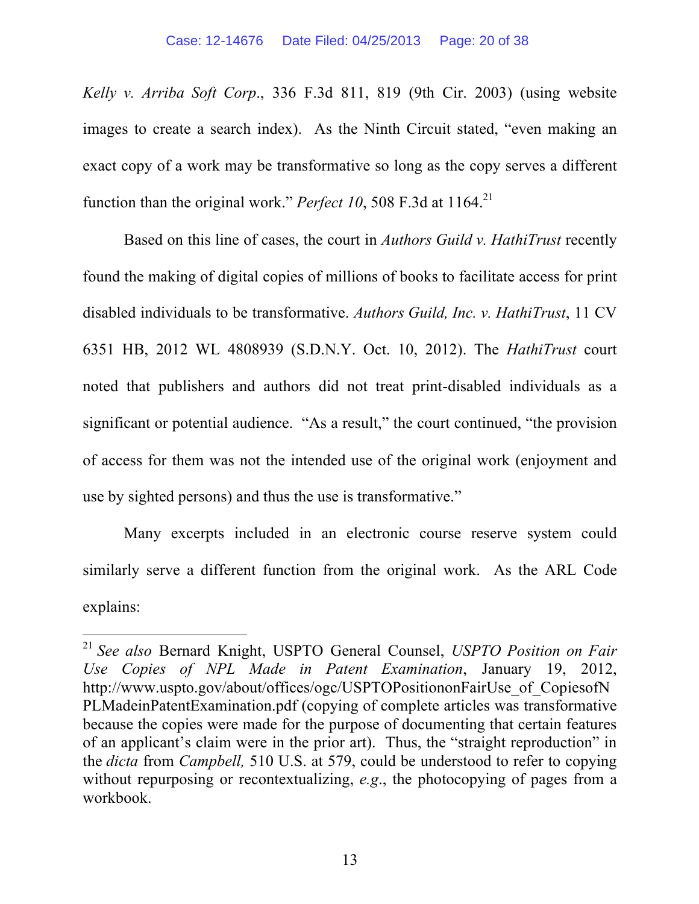*Kelly v. Arriba Soft Corp*., 336 F.3d 811, 819 (9th Cir. 2003) (using website images to create a search index). As the Ninth Circuit stated, "even making an exact copy of a work may be transformative so long as the copy serves a different function than the original work." *Perfect* 10, 508 F.3d at 1164.<sup>21</sup>

Based on this line of cases, the court in *Authors Guild v. HathiTrust* recently found the making of digital copies of millions of books to facilitate access for print disabled individuals to be transformative. *Authors Guild, Inc. v. HathiTrust*, 11 CV 6351 HB, 2012 WL 4808939 (S.D.N.Y. Oct. 10, 2012). The *HathiTrust* court noted that publishers and authors did not treat print-disabled individuals as a significant or potential audience. "As a result," the court continued, "the provision of access for them was not the intended use of the original work (enjoyment and use by sighted persons) and thus the use is transformative."

Many excerpts included in an electronic course reserve system could similarly serve a different function from the original work. As the ARL Code explains:

 <sup>21</sup> *See also* Bernard Knight, USPTO General Counsel, *USPTO Position on Fair Use Copies of NPL Made in Patent Examination*, January 19, 2012, http://www.uspto.gov/about/offices/ogc/USPTOPositiononFairUse\_of\_CopiesofN PLMadeinPatentExamination.pdf (copying of complete articles was transformative because the copies were made for the purpose of documenting that certain features of an applicant's claim were in the prior art). Thus, the "straight reproduction" in the *dicta* from *Campbell,* 510 U.S. at 579, could be understood to refer to copying without repurposing or recontextualizing, *e.g*., the photocopying of pages from a workbook.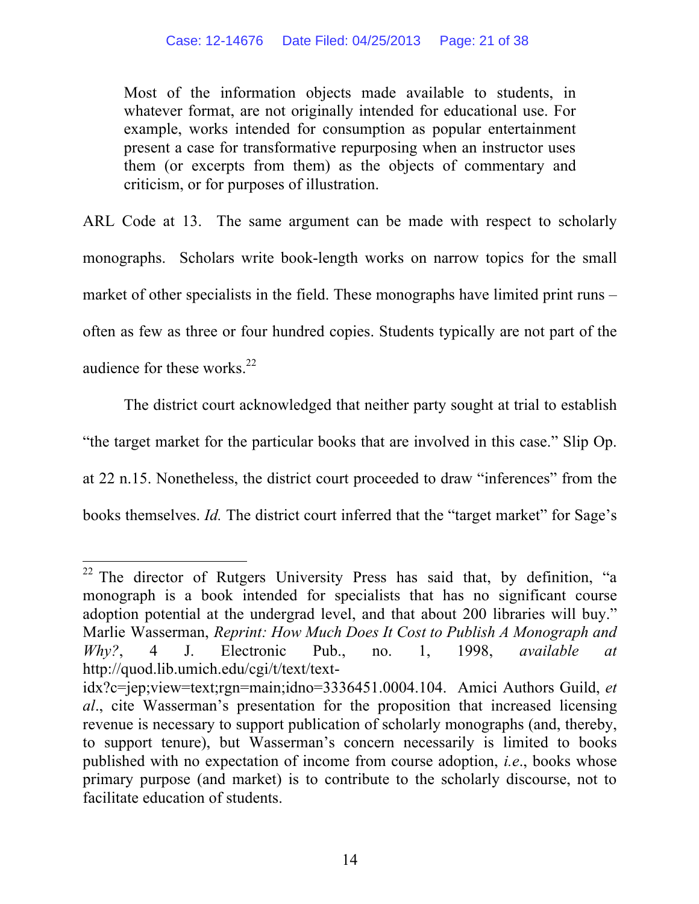Most of the information objects made available to students, in whatever format, are not originally intended for educational use. For example, works intended for consumption as popular entertainment present a case for transformative repurposing when an instructor uses them (or excerpts from them) as the objects of commentary and criticism, or for purposes of illustration.

ARL Code at 13. The same argument can be made with respect to scholarly monographs. Scholars write book-length works on narrow topics for the small market of other specialists in the field. These monographs have limited print runs – often as few as three or four hundred copies. Students typically are not part of the audience for these works. $^{22}$ 

The district court acknowledged that neither party sought at trial to establish "the target market for the particular books that are involved in this case." Slip Op. at 22 n.15. Nonetheless, the district court proceeded to draw "inferences" from the books themselves. *Id.* The district court inferred that the "target market" for Sage's

<sup>&</sup>lt;sup>22</sup> The director of Rutgers University Press has said that, by definition, "a monograph is a book intended for specialists that has no significant course adoption potential at the undergrad level, and that about 200 libraries will buy." Marlie Wasserman, *Reprint: How Much Does It Cost to Publish A Monograph and Why?*, 4 J. Electronic Pub., no. 1, 1998, *available at* http://quod.lib.umich.edu/cgi/t/text/text-

idx?c=jep;view=text;rgn=main;idno=3336451.0004.104. Amici Authors Guild, *et al*., cite Wasserman's presentation for the proposition that increased licensing revenue is necessary to support publication of scholarly monographs (and, thereby, to support tenure), but Wasserman's concern necessarily is limited to books published with no expectation of income from course adoption, *i.e*., books whose primary purpose (and market) is to contribute to the scholarly discourse, not to facilitate education of students.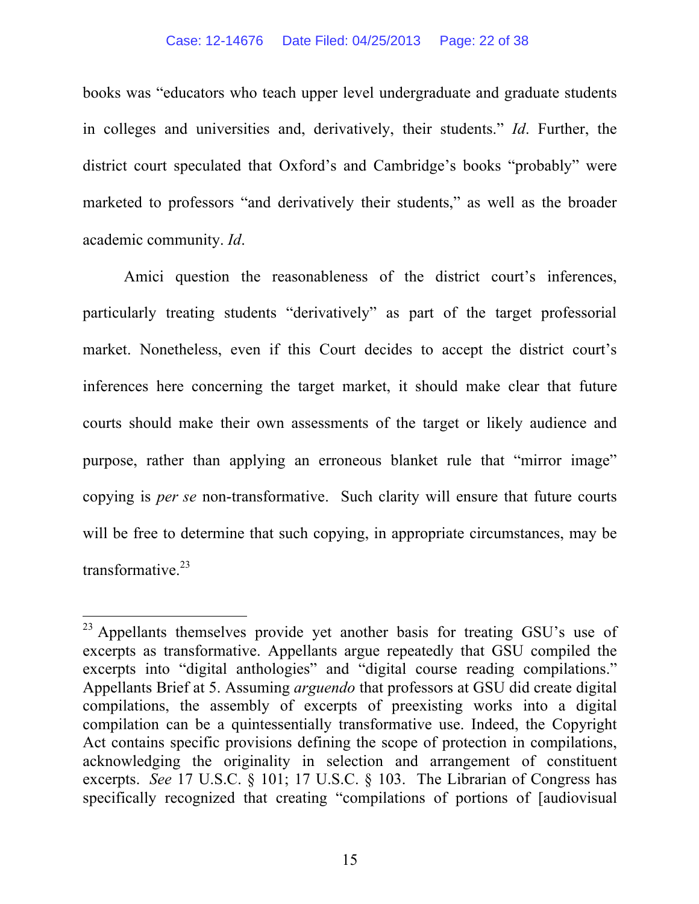books was "educators who teach upper level undergraduate and graduate students in colleges and universities and, derivatively, their students." *Id*. Further, the district court speculated that Oxford's and Cambridge's books "probably" were marketed to professors "and derivatively their students," as well as the broader academic community. *Id*.

Amici question the reasonableness of the district court's inferences, particularly treating students "derivatively" as part of the target professorial market. Nonetheless, even if this Court decides to accept the district court's inferences here concerning the target market, it should make clear that future courts should make their own assessments of the target or likely audience and purpose, rather than applying an erroneous blanket rule that "mirror image" copying is *per se* non-transformative. Such clarity will ensure that future courts will be free to determine that such copying, in appropriate circumstances, may be transformative.<sup>23</sup>

<sup>&</sup>lt;sup>23</sup> Appellants themselves provide yet another basis for treating GSU's use of excerpts as transformative. Appellants argue repeatedly that GSU compiled the excerpts into "digital anthologies" and "digital course reading compilations." Appellants Brief at 5. Assuming *arguendo* that professors at GSU did create digital compilations, the assembly of excerpts of preexisting works into a digital compilation can be a quintessentially transformative use. Indeed, the Copyright Act contains specific provisions defining the scope of protection in compilations, acknowledging the originality in selection and arrangement of constituent excerpts. *See* 17 U.S.C. § 101; 17 U.S.C. § 103. The Librarian of Congress has specifically recognized that creating "compilations of portions of [audiovisual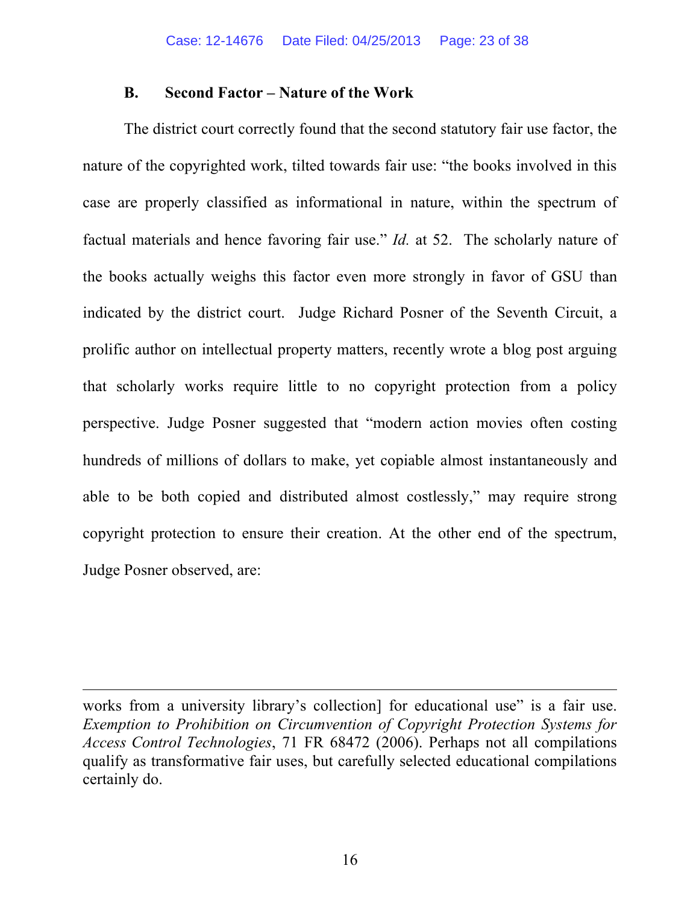#### **B. Second Factor – Nature of the Work**

The district court correctly found that the second statutory fair use factor, the nature of the copyrighted work, tilted towards fair use: "the books involved in this case are properly classified as informational in nature, within the spectrum of factual materials and hence favoring fair use." *Id.* at 52. The scholarly nature of the books actually weighs this factor even more strongly in favor of GSU than indicated by the district court. Judge Richard Posner of the Seventh Circuit, a prolific author on intellectual property matters, recently wrote a blog post arguing that scholarly works require little to no copyright protection from a policy perspective. Judge Posner suggested that "modern action movies often costing hundreds of millions of dollars to make, yet copiable almost instantaneously and able to be both copied and distributed almost costlessly," may require strong copyright protection to ensure their creation. At the other end of the spectrum, Judge Posner observed, are:

<u> 1989 - Johann Stein, marwolaethau a bhann an chomhair an chomhair an chomhair an chomhair an chomhair an chom</u>

works from a university library's collection for educational use" is a fair use. *Exemption to Prohibition on Circumvention of Copyright Protection Systems for Access Control Technologies*, 71 FR 68472 (2006). Perhaps not all compilations qualify as transformative fair uses, but carefully selected educational compilations certainly do.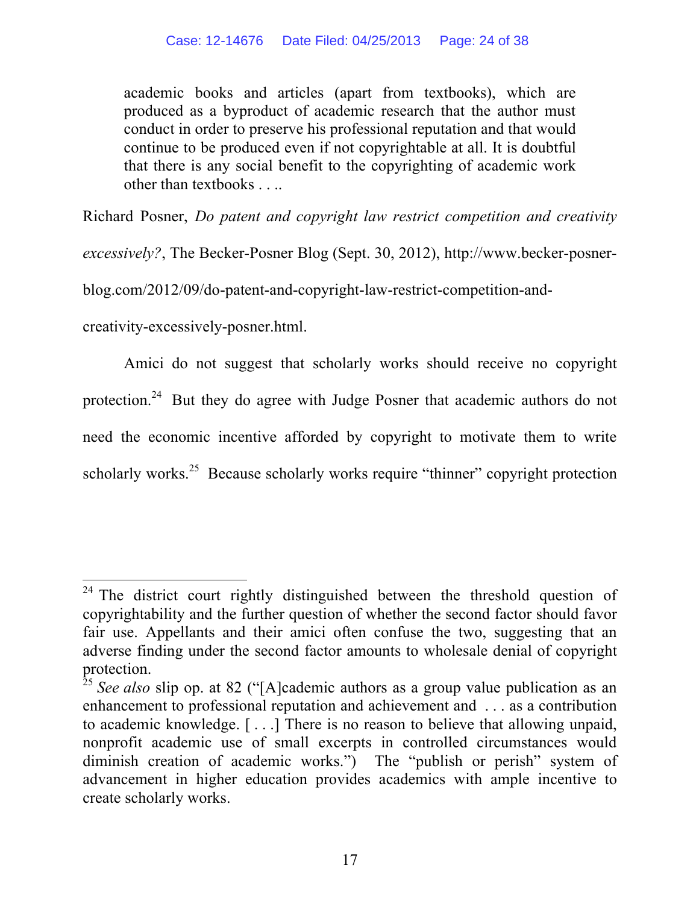academic books and articles (apart from textbooks), which are produced as a byproduct of academic research that the author must conduct in order to preserve his professional reputation and that would continue to be produced even if not copyrightable at all. It is doubtful that there is any social benefit to the copyrighting of academic work other than textbooks . . ..

Richard Posner, *Do patent and copyright law restrict competition and creativity* 

*excessively?*, The Becker-Posner Blog (Sept. 30, 2012), http://www.becker-posner-

blog.com/2012/09/do-patent-and-copyright-law-restrict-competition-and-

creativity-excessively-posner.html.

Amici do not suggest that scholarly works should receive no copyright protection.24 But they do agree with Judge Posner that academic authors do not need the economic incentive afforded by copyright to motivate them to write scholarly works.<sup>25</sup> Because scholarly works require "thinner" copyright protection

<sup>&</sup>lt;sup>24</sup> The district court rightly distinguished between the threshold question of copyrightability and the further question of whether the second factor should favor fair use. Appellants and their amici often confuse the two, suggesting that an adverse finding under the second factor amounts to wholesale denial of copyright protection.

<sup>&</sup>lt;sup>25</sup> *See also* slip op. at 82 ("[A]cademic authors as a group value publication as an enhancement to professional reputation and achievement and . . . as a contribution to academic knowledge. [ . . .] There is no reason to believe that allowing unpaid, nonprofit academic use of small excerpts in controlled circumstances would diminish creation of academic works.") The "publish or perish" system of advancement in higher education provides academics with ample incentive to create scholarly works.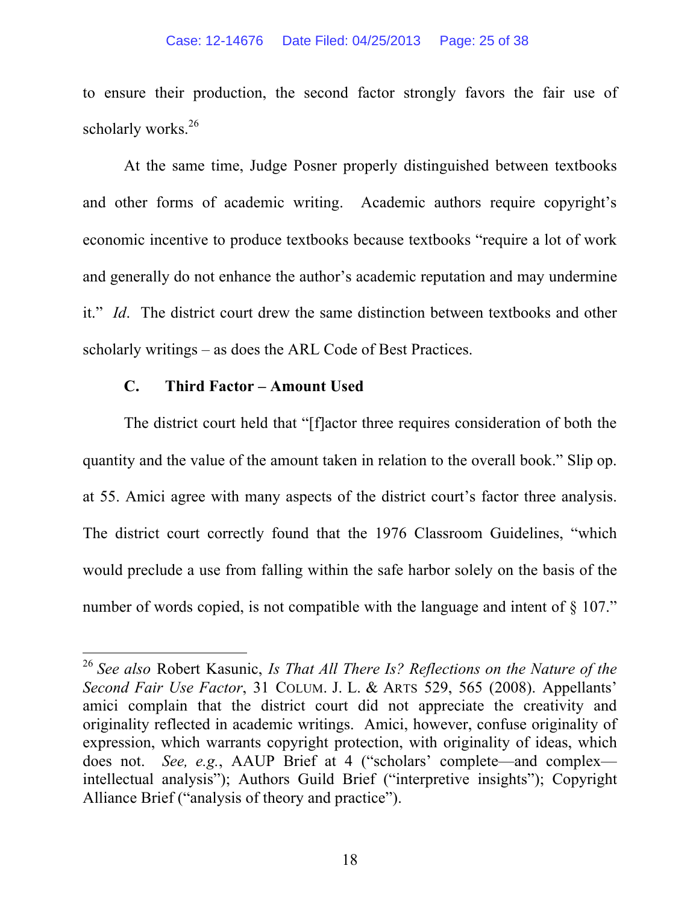#### Case: 12-14676 Date Filed: 04/25/2013 Page: 25 of 38

to ensure their production, the second factor strongly favors the fair use of scholarly works. $26$ 

At the same time, Judge Posner properly distinguished between textbooks and other forms of academic writing. Academic authors require copyright's economic incentive to produce textbooks because textbooks "require a lot of work and generally do not enhance the author's academic reputation and may undermine it." *Id*. The district court drew the same distinction between textbooks and other scholarly writings – as does the ARL Code of Best Practices.

### **C. Third Factor – Amount Used**

The district court held that "[f]actor three requires consideration of both the quantity and the value of the amount taken in relation to the overall book." Slip op. at 55. Amici agree with many aspects of the district court's factor three analysis. The district court correctly found that the 1976 Classroom Guidelines, "which would preclude a use from falling within the safe harbor solely on the basis of the number of words copied, is not compatible with the language and intent of  $\S 107$ ."

 <sup>26</sup> *See also* Robert Kasunic, *Is That All There Is? Reflections on the Nature of the Second Fair Use Factor*, 31 COLUM. J. L. & ARTS 529, 565 (2008). Appellants' amici complain that the district court did not appreciate the creativity and originality reflected in academic writings. Amici, however, confuse originality of expression, which warrants copyright protection, with originality of ideas, which does not. *See, e.g.*, AAUP Brief at 4 ("scholars' complete—and complex intellectual analysis"); Authors Guild Brief ("interpretive insights"); Copyright Alliance Brief ("analysis of theory and practice").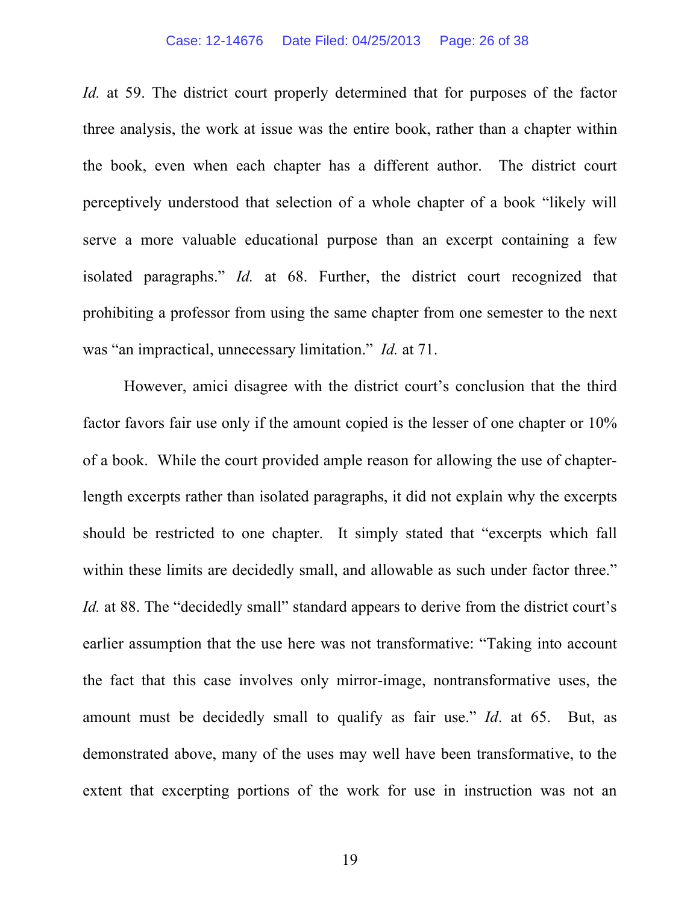#### Case: 12-14676 Date Filed: 04/25/2013 Page: 26 of 38

*Id.* at 59. The district court properly determined that for purposes of the factor three analysis, the work at issue was the entire book, rather than a chapter within the book, even when each chapter has a different author. The district court perceptively understood that selection of a whole chapter of a book "likely will serve a more valuable educational purpose than an excerpt containing a few isolated paragraphs." *Id.* at 68. Further, the district court recognized that prohibiting a professor from using the same chapter from one semester to the next was "an impractical, unnecessary limitation." *Id.* at 71.

However, amici disagree with the district court's conclusion that the third factor favors fair use only if the amount copied is the lesser of one chapter or 10% of a book. While the court provided ample reason for allowing the use of chapterlength excerpts rather than isolated paragraphs, it did not explain why the excerpts should be restricted to one chapter. It simply stated that "excerpts which fall within these limits are decidedly small, and allowable as such under factor three." *Id.* at 88. The "decidedly small" standard appears to derive from the district court's earlier assumption that the use here was not transformative: "Taking into account the fact that this case involves only mirror-image, nontransformative uses, the amount must be decidedly small to qualify as fair use." *Id*. at 65. But, as demonstrated above, many of the uses may well have been transformative, to the extent that excerpting portions of the work for use in instruction was not an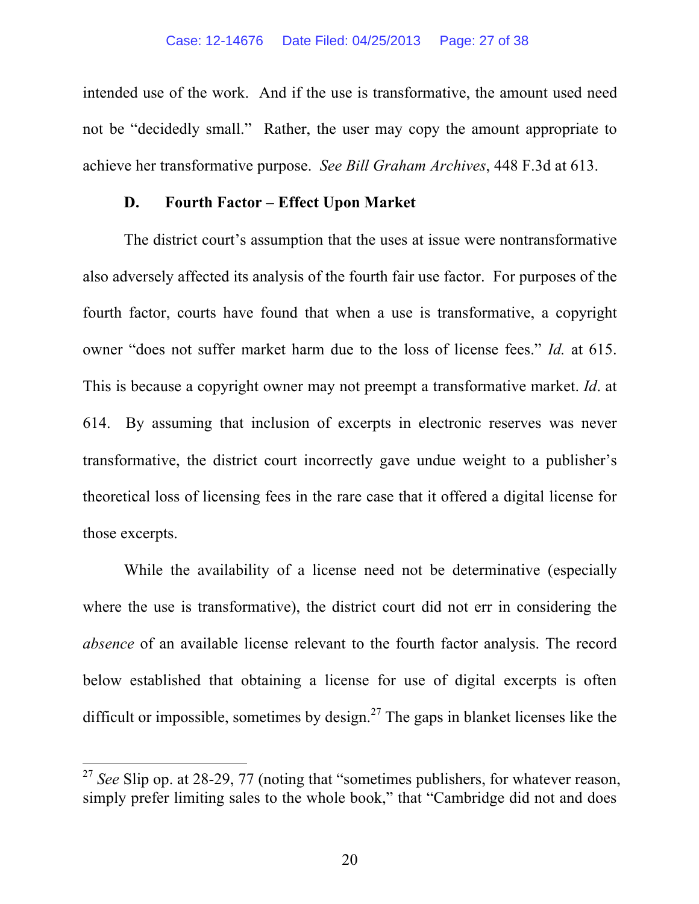intended use of the work. And if the use is transformative, the amount used need not be "decidedly small." Rather, the user may copy the amount appropriate to achieve her transformative purpose. *See Bill Graham Archives*, 448 F.3d at 613.

### **D. Fourth Factor – Effect Upon Market**

The district court's assumption that the uses at issue were nontransformative also adversely affected its analysis of the fourth fair use factor. For purposes of the fourth factor, courts have found that when a use is transformative, a copyright owner "does not suffer market harm due to the loss of license fees." *Id.* at 615. This is because a copyright owner may not preempt a transformative market. *Id*. at 614. By assuming that inclusion of excerpts in electronic reserves was never transformative, the district court incorrectly gave undue weight to a publisher's theoretical loss of licensing fees in the rare case that it offered a digital license for those excerpts.

While the availability of a license need not be determinative (especially where the use is transformative), the district court did not err in considering the *absence* of an available license relevant to the fourth factor analysis. The record below established that obtaining a license for use of digital excerpts is often difficult or impossible, sometimes by design.<sup>27</sup> The gaps in blanket licenses like the

<sup>&</sup>lt;sup>27</sup> See Slip op. at 28-29, 77 (noting that "sometimes publishers, for whatever reason, simply prefer limiting sales to the whole book," that "Cambridge did not and does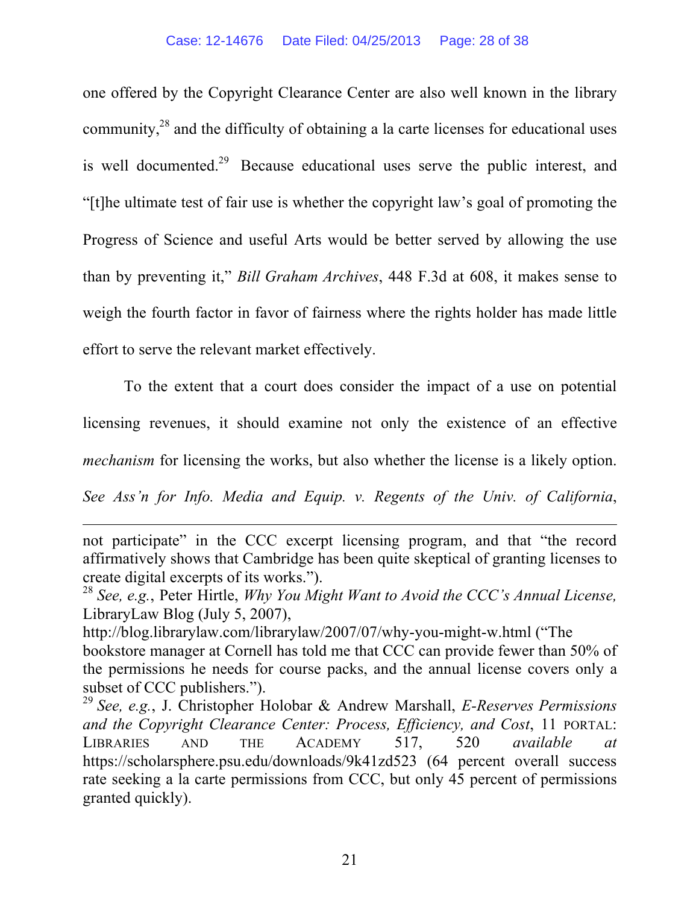one offered by the Copyright Clearance Center are also well known in the library community,28 and the difficulty of obtaining a la carte licenses for educational uses is well documented.<sup>29</sup> Because educational uses serve the public interest, and "[t]he ultimate test of fair use is whether the copyright law's goal of promoting the Progress of Science and useful Arts would be better served by allowing the use than by preventing it," *Bill Graham Archives*, 448 F.3d at 608, it makes sense to weigh the fourth factor in favor of fairness where the rights holder has made little effort to serve the relevant market effectively.

To the extent that a court does consider the impact of a use on potential licensing revenues, it should examine not only the existence of an effective *mechanism* for licensing the works, but also whether the license is a likely option.

*See Ass'n for Info. Media and Equip. v. Regents of the Univ. of California*,

<u> 1989 - Johann Stein, marwolaethau a bhann an chomhair an chomhair an chomhair an chomhair an chomhair an chom</u>

not participate" in the CCC excerpt licensing program, and that "the record affirmatively shows that Cambridge has been quite skeptical of granting licenses to create digital excerpts of its works.").

<sup>28</sup> *See, e.g.*, Peter Hirtle, *Why You Might Want to Avoid the CCC's Annual License,*  LibraryLaw Blog (July 5, 2007),

http://blog.librarylaw.com/librarylaw/2007/07/why-you-might-w.html ("The bookstore manager at Cornell has told me that CCC can provide fewer than 50% of the permissions he needs for course packs, and the annual license covers only a subset of CCC publishers.").

<sup>29</sup> *See, e.g.*, J. Christopher Holobar & Andrew Marshall, *E-Reserves Permissions and the Copyright Clearance Center: Process, Efficiency, and Cost*, 11 PORTAL: LIBRARIES AND THE ACADEMY 517, 520 *available at*  https://scholarsphere.psu.edu/downloads/9k41zd523 (64 percent overall success rate seeking a la carte permissions from CCC, but only 45 percent of permissions granted quickly).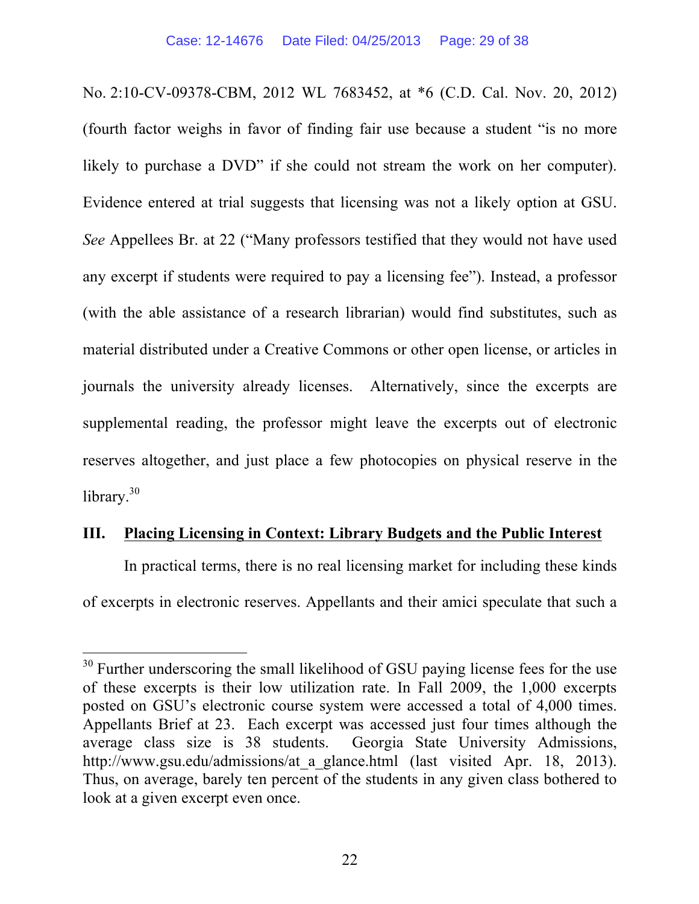No. 2:10-CV-09378-CBM, 2012 WL 7683452, at \*6 (C.D. Cal. Nov. 20, 2012) (fourth factor weighs in favor of finding fair use because a student "is no more likely to purchase a DVD" if she could not stream the work on her computer). Evidence entered at trial suggests that licensing was not a likely option at GSU. *See* Appellees Br. at 22 ("Many professors testified that they would not have used any excerpt if students were required to pay a licensing fee"). Instead, a professor (with the able assistance of a research librarian) would find substitutes, such as material distributed under a Creative Commons or other open license, or articles in journals the university already licenses. Alternatively, since the excerpts are supplemental reading, the professor might leave the excerpts out of electronic reserves altogether, and just place a few photocopies on physical reserve in the library.<sup>30</sup>

### **III. Placing Licensing in Context: Library Budgets and the Public Interest**

In practical terms, there is no real licensing market for including these kinds of excerpts in electronic reserves. Appellants and their amici speculate that such a

<sup>&</sup>lt;sup>30</sup> Further underscoring the small likelihood of GSU paying license fees for the use of these excerpts is their low utilization rate. In Fall 2009, the 1,000 excerpts posted on GSU's electronic course system were accessed a total of 4,000 times. Appellants Brief at 23. Each excerpt was accessed just four times although the average class size is 38 students. Georgia State University Admissions, http://www.gsu.edu/admissions/at a glance.html (last visited Apr. 18, 2013). Thus, on average, barely ten percent of the students in any given class bothered to look at a given excerpt even once.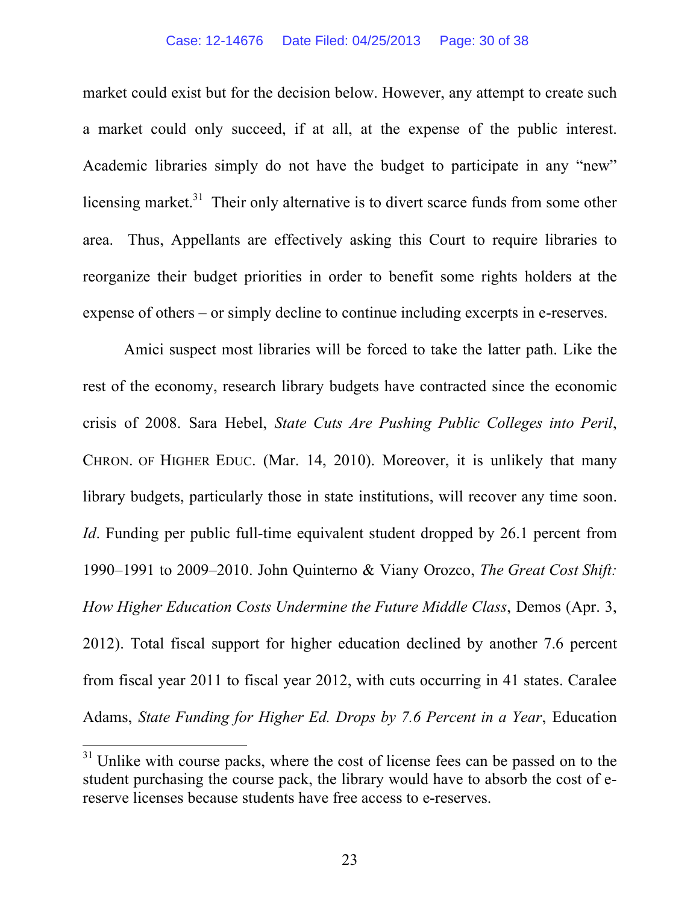market could exist but for the decision below. However, any attempt to create such a market could only succeed, if at all, at the expense of the public interest. Academic libraries simply do not have the budget to participate in any "new" licensing market.<sup>31</sup> Their only alternative is to divert scarce funds from some other area. Thus, Appellants are effectively asking this Court to require libraries to reorganize their budget priorities in order to benefit some rights holders at the expense of others – or simply decline to continue including excerpts in e-reserves.

Amici suspect most libraries will be forced to take the latter path. Like the rest of the economy, research library budgets have contracted since the economic crisis of 2008. Sara Hebel, *State Cuts Are Pushing Public Colleges into Peril*, CHRON. OF HIGHER EDUC. (Mar. 14, 2010). Moreover, it is unlikely that many library budgets, particularly those in state institutions, will recover any time soon. *Id*. Funding per public full-time equivalent student dropped by 26.1 percent from 1990–1991 to 2009–2010. John Quinterno & Viany Orozco, *The Great Cost Shift: How Higher Education Costs Undermine the Future Middle Class*, Demos (Apr. 3, 2012). Total fiscal support for higher education declined by another 7.6 percent from fiscal year 2011 to fiscal year 2012, with cuts occurring in 41 states. Caralee Adams, *State Funding for Higher Ed. Drops by 7.6 Percent in a Year*, Education

<sup>&</sup>lt;sup>31</sup> Unlike with course packs, where the cost of license fees can be passed on to the student purchasing the course pack, the library would have to absorb the cost of ereserve licenses because students have free access to e-reserves.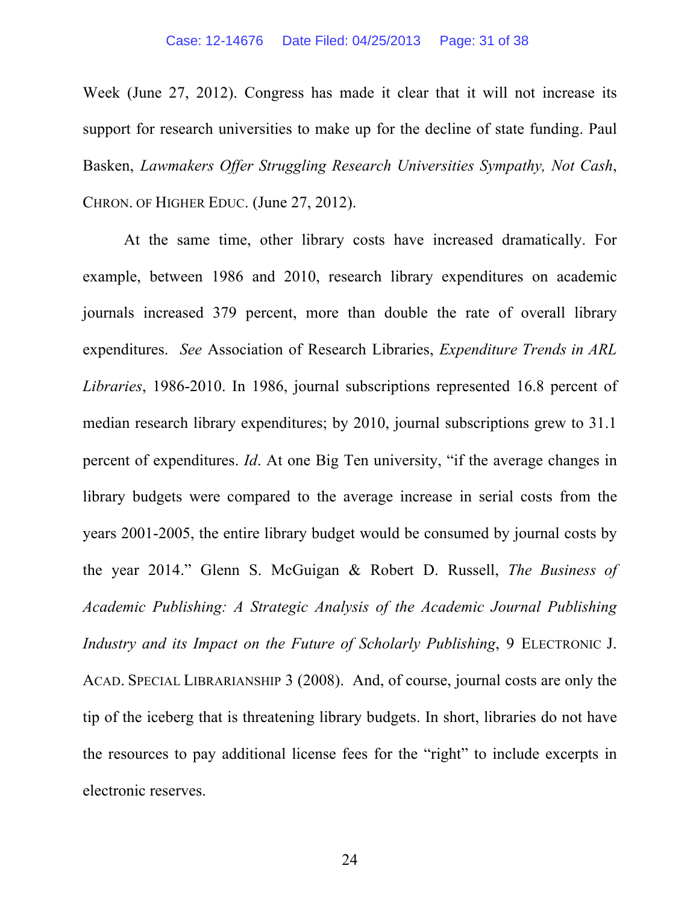Week (June 27, 2012). Congress has made it clear that it will not increase its support for research universities to make up for the decline of state funding. Paul Basken, *Lawmakers Offer Struggling Research Universities Sympathy, Not Cash*, CHRON. OF HIGHER EDUC. (June 27, 2012).

At the same time, other library costs have increased dramatically. For example, between 1986 and 2010, research library expenditures on academic journals increased 379 percent, more than double the rate of overall library expenditures. *See* Association of Research Libraries, *Expenditure Trends in ARL Libraries*, 1986-2010. In 1986, journal subscriptions represented 16.8 percent of median research library expenditures; by 2010, journal subscriptions grew to 31.1 percent of expenditures. *Id*. At one Big Ten university, "if the average changes in library budgets were compared to the average increase in serial costs from the years 2001-2005, the entire library budget would be consumed by journal costs by the year 2014." Glenn S. McGuigan & Robert D. Russell, *The Business of Academic Publishing: A Strategic Analysis of the Academic Journal Publishing Industry and its Impact on the Future of Scholarly Publishing*, 9 ELECTRONIC J. ACAD. SPECIAL LIBRARIANSHIP 3 (2008). And, of course, journal costs are only the tip of the iceberg that is threatening library budgets. In short, libraries do not have the resources to pay additional license fees for the "right" to include excerpts in electronic reserves.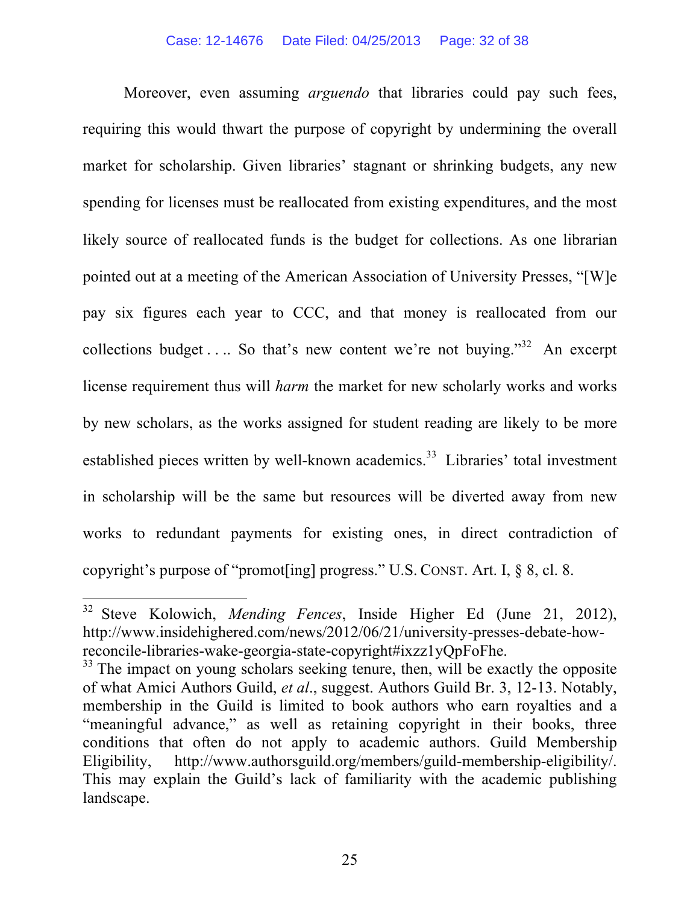Moreover, even assuming *arguendo* that libraries could pay such fees, requiring this would thwart the purpose of copyright by undermining the overall market for scholarship. Given libraries' stagnant or shrinking budgets, any new spending for licenses must be reallocated from existing expenditures, and the most likely source of reallocated funds is the budget for collections. As one librarian pointed out at a meeting of the American Association of University Presses, "[W]e pay six figures each year to CCC, and that money is reallocated from our collections budget . . . So that's new content we're not buying."<sup>32</sup> An excerpt license requirement thus will *harm* the market for new scholarly works and works by new scholars, as the works assigned for student reading are likely to be more established pieces written by well-known academics.<sup>33</sup> Libraries' total investment in scholarship will be the same but resources will be diverted away from new works to redundant payments for existing ones, in direct contradiction of copyright's purpose of "promot[ing] progress." U.S. CONST. Art. I, § 8, cl. 8.

 <sup>32</sup> Steve Kolowich, *Mending Fences*, Inside Higher Ed (June 21, 2012), http://www.insidehighered.com/news/2012/06/21/university-presses-debate-howreconcile-libraries-wake-georgia-state-copyright#ixzz1yQpFoFhe. 33 The impact on young scholars seeking tenure, then, will be exactly the opposite

of what Amici Authors Guild, *et al*., suggest. Authors Guild Br. 3, 12-13. Notably, membership in the Guild is limited to book authors who earn royalties and a "meaningful advance," as well as retaining copyright in their books, three conditions that often do not apply to academic authors. Guild Membership Eligibility, http://www.authorsguild.org/members/guild-membership-eligibility/. This may explain the Guild's lack of familiarity with the academic publishing landscape.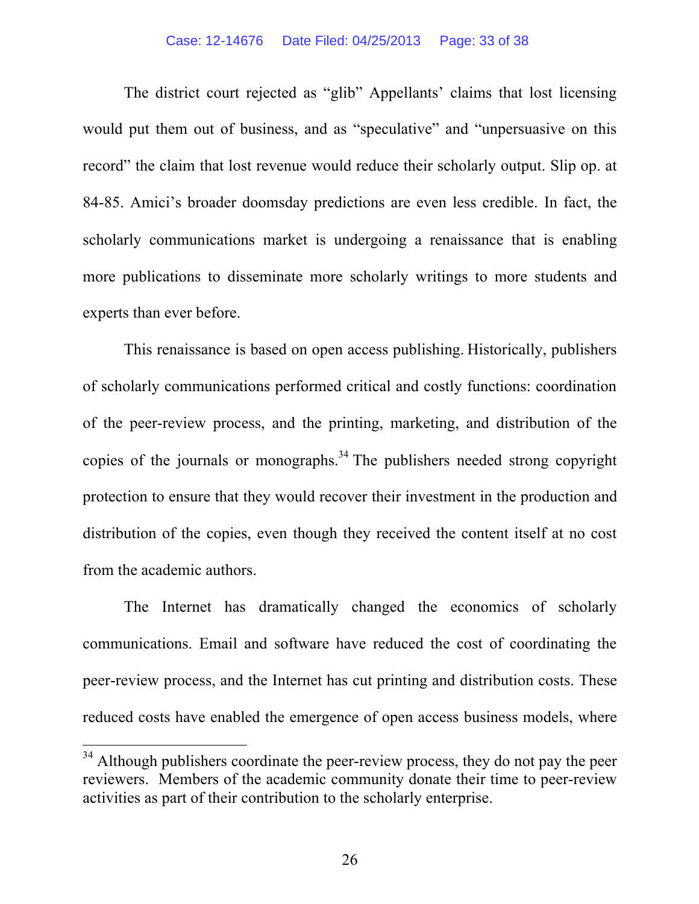The district court rejected as "glib" Appellants' claims that lost licensing would put them out of business, and as "speculative" and "unpersuasive on this record" the claim that lost revenue would reduce their scholarly output. Slip op. at 84-85. Amici's broader doomsday predictions are even less credible. In fact, the scholarly communications market is undergoing a renaissance that is enabling more publications to disseminate more scholarly writings to more students and experts than ever before.

This renaissance is based on open access publishing. Historically, publishers of scholarly communications performed critical and costly functions: coordination of the peer-review process, and the printing, marketing, and distribution of the copies of the journals or monographs.<sup>34</sup> The publishers needed strong copyright protection to ensure that they would recover their investment in the production and distribution of the copies, even though they received the content itself at no cost from the academic authors.

The Internet has dramatically changed the economics of scholarly communications. Email and software have reduced the cost of coordinating the peer-review process, and the Internet has cut printing and distribution costs. These reduced costs have enabled the emergence of open access business models, where

<sup>&</sup>lt;sup>34</sup> Although publishers coordinate the peer-review process, they do not pay the peer reviewers. Members of the academic community donate their time to peer-review activities as part of their contribution to the scholarly enterprise.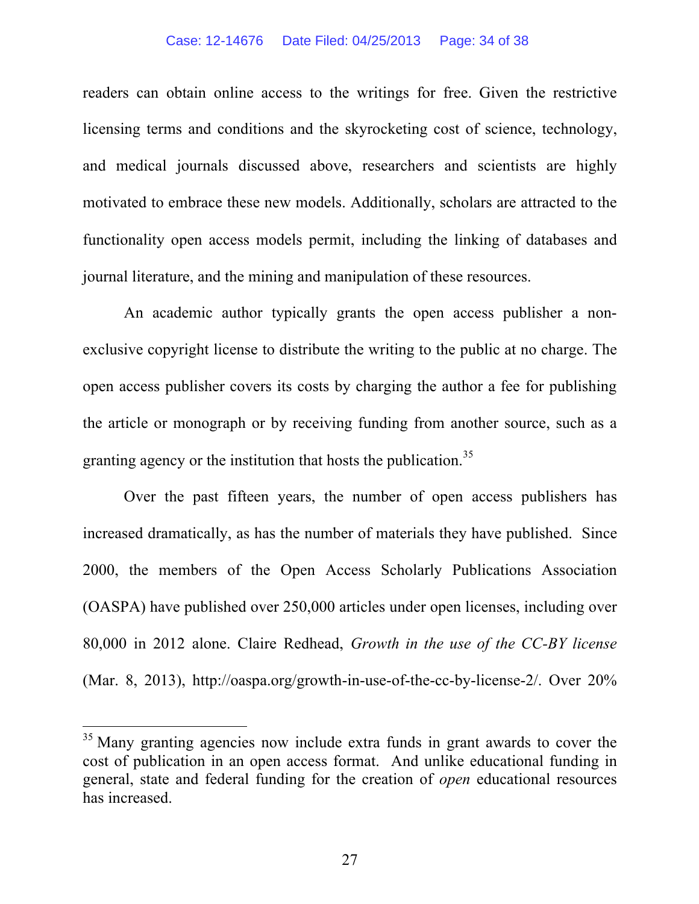readers can obtain online access to the writings for free. Given the restrictive licensing terms and conditions and the skyrocketing cost of science, technology, and medical journals discussed above, researchers and scientists are highly motivated to embrace these new models. Additionally, scholars are attracted to the functionality open access models permit, including the linking of databases and journal literature, and the mining and manipulation of these resources.

An academic author typically grants the open access publisher a nonexclusive copyright license to distribute the writing to the public at no charge. The open access publisher covers its costs by charging the author a fee for publishing the article or monograph or by receiving funding from another source, such as a granting agency or the institution that hosts the publication.<sup>35</sup>

Over the past fifteen years, the number of open access publishers has increased dramatically, as has the number of materials they have published. Since 2000, the members of the Open Access Scholarly Publications Association (OASPA) have published over 250,000 articles under open licenses, including over 80,000 in 2012 alone. Claire Redhead, *Growth in the use of the CC-BY license* (Mar. 8, 2013), http://oaspa.org/growth-in-use-of-the-cc-by-license-2/. Over 20%

<sup>&</sup>lt;sup>35</sup> Many granting agencies now include extra funds in grant awards to cover the cost of publication in an open access format. And unlike educational funding in general, state and federal funding for the creation of *open* educational resources has increased.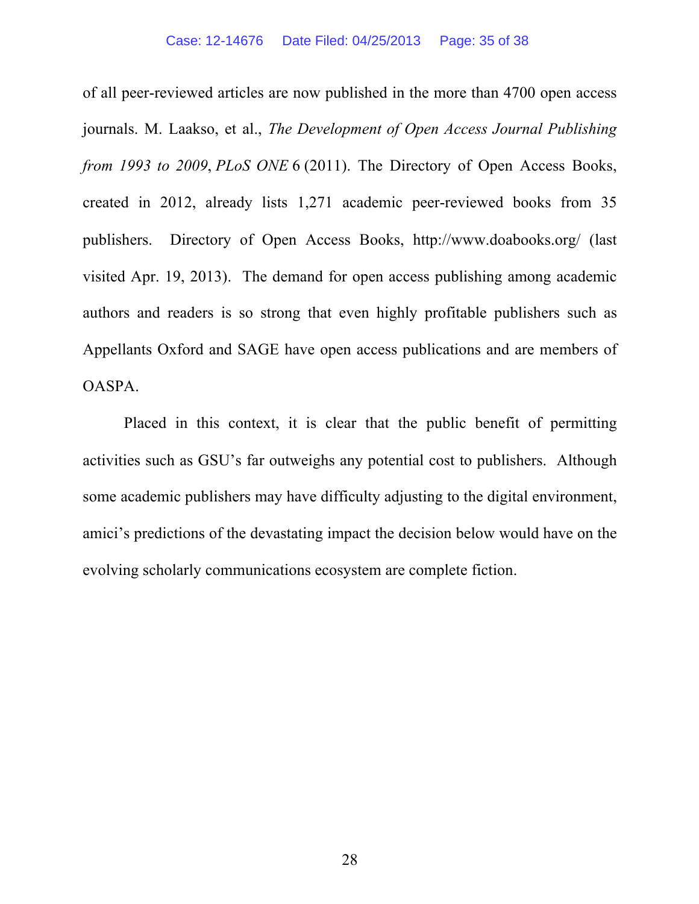of all peer-reviewed articles are now published in the more than 4700 open access journals. M. Laakso, et al., *The Development of Open Access Journal Publishing from 1993 to 2009*, *PLoS ONE* 6 (2011). The Directory of Open Access Books, created in 2012, already lists 1,271 academic peer-reviewed books from 35 publishers. Directory of Open Access Books, http://www.doabooks.org/ (last visited Apr. 19, 2013). The demand for open access publishing among academic authors and readers is so strong that even highly profitable publishers such as Appellants Oxford and SAGE have open access publications and are members of OASPA.

Placed in this context, it is clear that the public benefit of permitting activities such as GSU's far outweighs any potential cost to publishers. Although some academic publishers may have difficulty adjusting to the digital environment, amici's predictions of the devastating impact the decision below would have on the evolving scholarly communications ecosystem are complete fiction.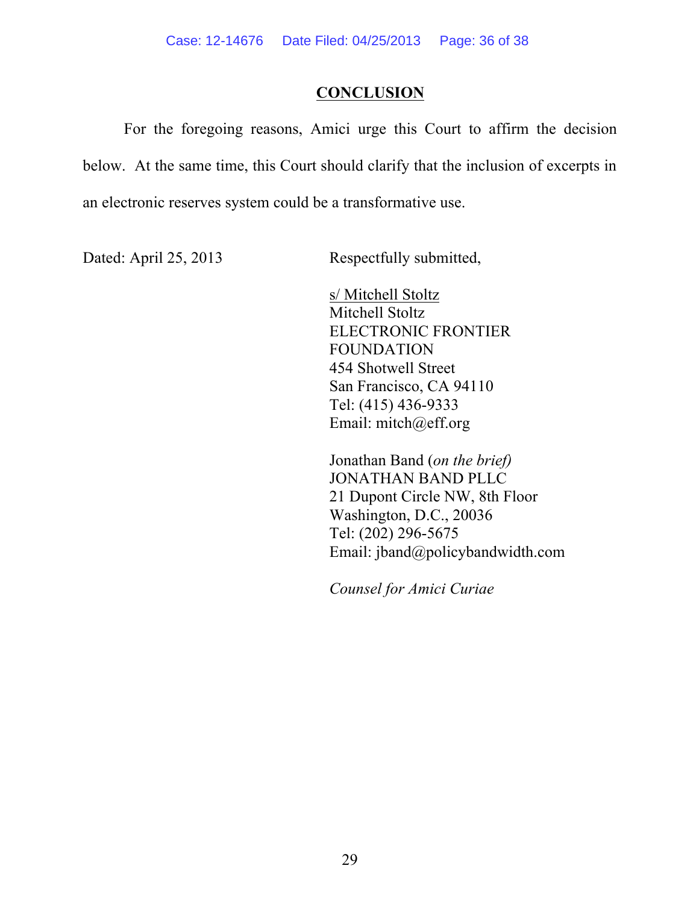## **CONCLUSION**

For the foregoing reasons, Amici urge this Court to affirm the decision below. At the same time, this Court should clarify that the inclusion of excerpts in an electronic reserves system could be a transformative use.

Dated: April 25, 2013 Respectfully submitted,

s/ Mitchell Stoltz Mitchell Stoltz ELECTRONIC FRONTIER FOUNDATION 454 Shotwell Street San Francisco, CA 94110 Tel: (415) 436-9333 Email: mitch@eff.org

Jonathan Band (*on the brief)* JONATHAN BAND PLLC 21 Dupont Circle NW, 8th Floor Washington, D.C., 20036 Tel: (202) 296-5675 Email: jband@policybandwidth.com

*Counsel for Amici Curiae*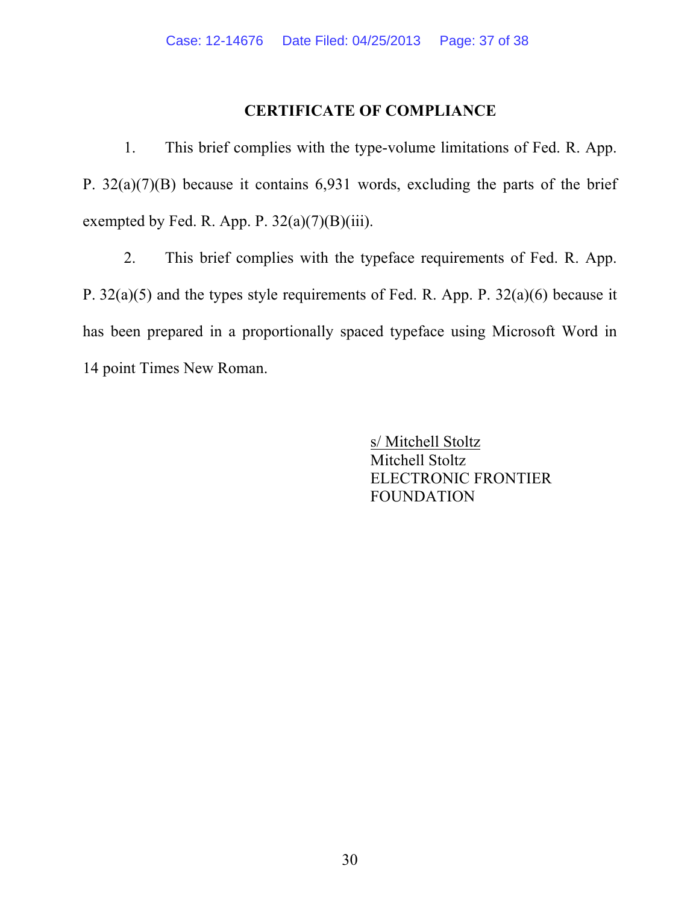## **CERTIFICATE OF COMPLIANCE**

1. This brief complies with the type-volume limitations of Fed. R. App. P. 32(a)(7)(B) because it contains 6,931 words, excluding the parts of the brief exempted by Fed. R. App. P.  $32(a)(7)(B)(iii)$ .

2. This brief complies with the typeface requirements of Fed. R. App. P. 32(a)(5) and the types style requirements of Fed. R. App. P. 32(a)(6) because it has been prepared in a proportionally spaced typeface using Microsoft Word in 14 point Times New Roman.

> s/ Mitchell Stoltz Mitchell Stoltz ELECTRONIC FRONTIER FOUNDATION